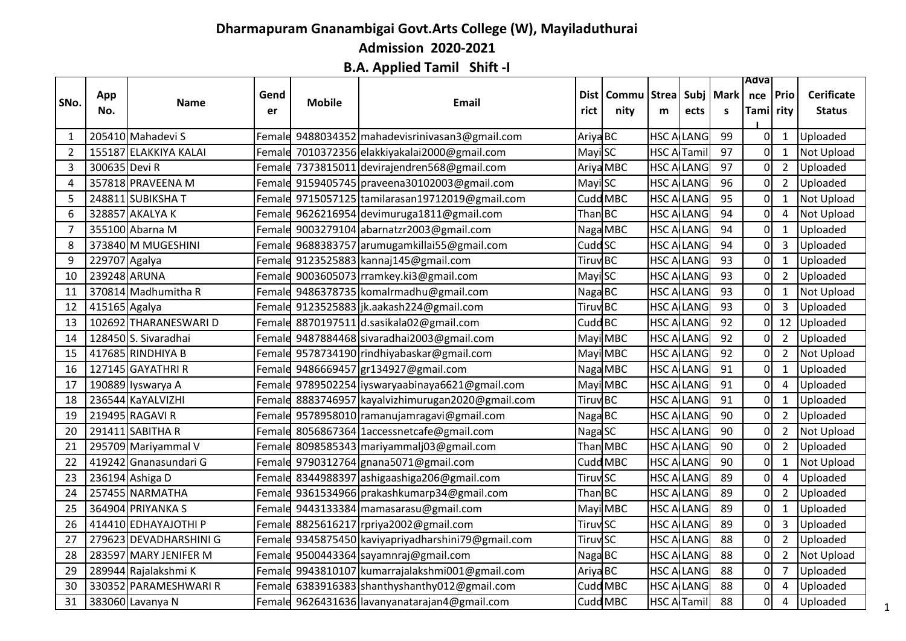## **Dharmapuram Gnanambigai Govt.Arts College (W), Mayiladuthurai Admission 2020-2021**

**B.A. Applied Tamil Shift -I**

|                |               |                        |        |               |                                                 |                           |                  |                    |                   |             | Adva           |                |                   |
|----------------|---------------|------------------------|--------|---------------|-------------------------------------------------|---------------------------|------------------|--------------------|-------------------|-------------|----------------|----------------|-------------------|
| SNo.           | App           | Name                   | Gend   | <b>Mobile</b> | <b>Email</b>                                    | Dist                      | Commu Strea Subj |                    |                   | <b>Mark</b> | nce   Prio     |                | <b>Cerificate</b> |
|                | No.           |                        | er     |               |                                                 | rict                      | nity             | m                  | ects              | s.          | Tami rity      |                | <b>Status</b>     |
|                |               |                        |        |               |                                                 |                           |                  |                    |                   |             |                |                |                   |
| -1             |               | 205410 Mahadevi S      | Femal  |               | 9488034352 mahadevisrinivasan3@gmail.com        | Ariya BC                  |                  | HSC A              | LANG              | 99          | $\overline{O}$ | $\mathbf{1}$   | Uploaded          |
| $\overline{2}$ |               | 155187 ELAKKIYA KALAI  | Femal  |               | 7010372356 elakkiyakalai2000@gmail.com          | Mayi SC                   |                  | HSC A              | Tamil             | 97          | 0              | $\mathbf{1}$   | Not Upload        |
| 3              | 300635 Devi R |                        |        |               | Female 7373815011 devirajendren568@gmail.com    |                           | Ariya MBC        |                    | <b>HSC ALLANG</b> | 97          | $\mathbf 0$    | $\overline{2}$ | Uploaded          |
| 4              |               | 357818 PRAVEENA M      |        |               | Female 9159405745 praveena30102003@gmail.com    | Mayi SC                   |                  | <b>HSC ALLANG</b>  |                   | 96          | 0              | $\overline{2}$ | Uploaded          |
| 5              |               | 248811 SUBIKSHAT       |        |               | Female 9715057125 tamilarasan19712019@gmail.com |                           | Cudd MBC         | <b>HSC ALLANG</b>  |                   | 95          | 0              | $\mathbf{1}$   | Not Upload        |
| 6              |               | 328857 AKALYA K        | Femal  |               | 9626216954 devimuruga1811@gmail.com             | ThanBC                    |                  |                    | <b>HSC ALLANG</b> | 94          | 0              | 4              | Not Upload        |
| $\overline{7}$ |               | 355100 Abarna M        | Femal  |               | le 9003279104 abarnatzr2003@gmail.com           |                           | Naga MBC         | HSC A              | LANG              | 94          | 0              | $\mathbf{1}$   | Uploaded          |
| 8              |               | 373840 M MUGESHINI     |        |               | Female 9688383757 arumugamkillai55@gmail.com    | Cudd SC                   |                  | HSC A              | LANG              | 94          | 0              | $\overline{3}$ | Uploaded          |
| 9              | 229707 Agalya |                        |        |               | Female 9123525883 kannaj145@gmail.com           | Tiruv <sub>BC</sub>       |                  |                    | <b>HSC ALLANG</b> | 93          | 0              | 1              | Uploaded          |
| 10             | 239248 ARUNA  |                        |        |               | Female 9003605073 rramkey.ki3@gmail.com         | Mayi SC                   |                  | <b>HSC ALLANG</b>  |                   | 93          | 0              | $\overline{2}$ | Uploaded          |
| 11             |               | 370814 Madhumitha R    | Femal  |               | le 9486378735 komalrmadhu@gmail.com             | Naga BC                   |                  | HSC A              | LANG              | 93          | $\pmb{0}$      | $\mathbf{1}$   | Not Upload        |
| 12             | 415165 Agalya |                        | Femal  |               | 9123525883 jk.aakash224@gmail.com               | <b>Tiruv</b> BC           |                  |                    | <b>HSC ALLANG</b> | 93          | $\mathbf 0$    | 3              | Uploaded          |
| 13             |               | 102692 THARANESWARI D  | Femal  |               | 8870197511 d.sasikala02@gmail.com               | Cudd BC                   |                  | HSC A              | LANG              | 92          | 0              | 12             | Uploaded          |
| 14             |               | 128450 S. Sivaradhai   | Femal  |               | 9487884468 sivaradhai 2003@gmail.com            |                           | Mayi MBC         | HSC A              | LANG              | 92          | 0              | $\overline{2}$ | Uploaded          |
| 15             |               | 417685 RINDHIYA B      |        |               | Female 9578734190 rindhiyabaskar@gmail.com      |                           | Mayi MBC         |                    | <b>HSC ALLANG</b> | 92          | 0              | $\overline{2}$ | <b>Not Upload</b> |
| 16             |               | 127145 GAYATHRI R      |        |               | Female 9486669457 gr134927@gmail.com            |                           | Naga MBC         | <b>HSC ALLANG</b>  |                   | 91          | 0              | $\mathbf{1}$   | Uploaded          |
| 17             |               | 190889 Iyswarya A      |        |               | Female 9789502254 iyswaryaabinaya6621@gmail.com |                           | Mayi MBC         | <b>HSC ALLANG</b>  |                   | 91          | $\pmb{0}$      | $\sqrt{4}$     | Uploaded          |
| 18             |               | 236544 KaYALVIZHI      | Femal  |               | 8883746957 kayalvizhimurugan2020@gmail.com      | Tiruv BC                  |                  |                    | <b>HSC ALLANG</b> | 91          | 0              | $\mathbf{1}$   | Uploaded          |
| 19             |               | 219495 RAGAVI R        | Female |               | 9578958010 ramanujamragavi@gmail.com            | Naga BC                   |                  | HSC A              | LANG              | 90          | 0              | $\overline{2}$ | Uploaded          |
| 20             |               | 291411 SABITHA R       |        |               | Female 8056867364 1accessnetcafe@gmail.com      | Naga SC                   |                  | HSC A              | LANG              | 90          | 0              | $\overline{2}$ | Not Upload        |
| 21             |               | 295709 Mariyammal V    |        |               | Female 8098585343 mariyammalj03@gmail.com       |                           | Than MBC         |                    | <b>HSC ALLANG</b> | 90          | 0              | $\overline{2}$ | Uploaded          |
| 22             |               | 419242 Gnanasundari G  |        |               | Female 9790312764 gnana5071@gmail.com           |                           | Cudd MBC         | <b>HSC ALLANG</b>  |                   | 90          | 0              | $\mathbf{1}$   | Not Upload        |
| 23             |               | 236194 Ashiga D        | Female |               | 8344988397 ashigaashiga206@gmail.com            | <b>Tiruv<sub>SC</sub></b> |                  | HSC A              | LANG              | 89          | 0              | 4              | Uploaded          |
| 24             |               | 257455 NARMATHA        | Femal  |               | 9361534966 prakashkumarp34@gmail.com            | ThanBC                    |                  |                    | <b>HSC ALLANG</b> | 89          | 0              | $\overline{2}$ | Uploaded          |
| 25             |               | 364904 PRIYANKA S      | Femal  |               | 9443133384 mamasarasu@gmail.com                 |                           | Mayi MBC         | HSC A              | LANG              | 89          | 0              | $\mathbf{1}$   | Uploaded          |
| 26             |               | 414410 EDHAYAJOTHI P   | Femal  |               | 8825616217 rpriya2002@gmail.com                 | <b>Tiruv</b> SC           |                  | HSC A              | LANG              | 89          | 0              | 3              | Uploaded          |
| 27             |               | 279623 DEVADHARSHINI G | Femal  |               | le 9345875450 kaviyapriyadharshini79@gmail.com  | <b>Tiruv</b> SC           |                  |                    | <b>HSC ALLANG</b> | 88          | 0              | $\overline{2}$ | Uploaded          |
| 28             |               | 283597 MARY JENIFER M  |        |               | Female 9500443364 sayamnraj@gmail.com           | Naga BC                   |                  | <b>HSC ALLANG</b>  |                   | 88          | 0              | $\overline{2}$ | Not Upload        |
| 29             |               | 289944 Rajalakshmi K   |        |               | Female 9943810107 kumarrajalakshmi001@gmail.com | Ariya BC                  |                  | HSC A              | LANG              | 88          | 0              | $\overline{7}$ | Uploaded          |
| 30             |               | 330352 PARAMESHWARI R  | Femal  |               | 6383916383 shanthyshanthy012@gmail.com          |                           | Cudd MBC         |                    | <b>HSC ALLANG</b> | 88          | 0              | 4              | Uploaded          |
| 31             |               | 383060 Lavanya N       |        |               | Female 9626431636 lavanyanatarajan4@gmail.com   |                           | Cudd MBC         | <b>HSC A Tamil</b> |                   | 88          | 0              | 4              | Uploaded          |
|                |               |                        |        |               |                                                 |                           |                  |                    |                   |             |                |                |                   |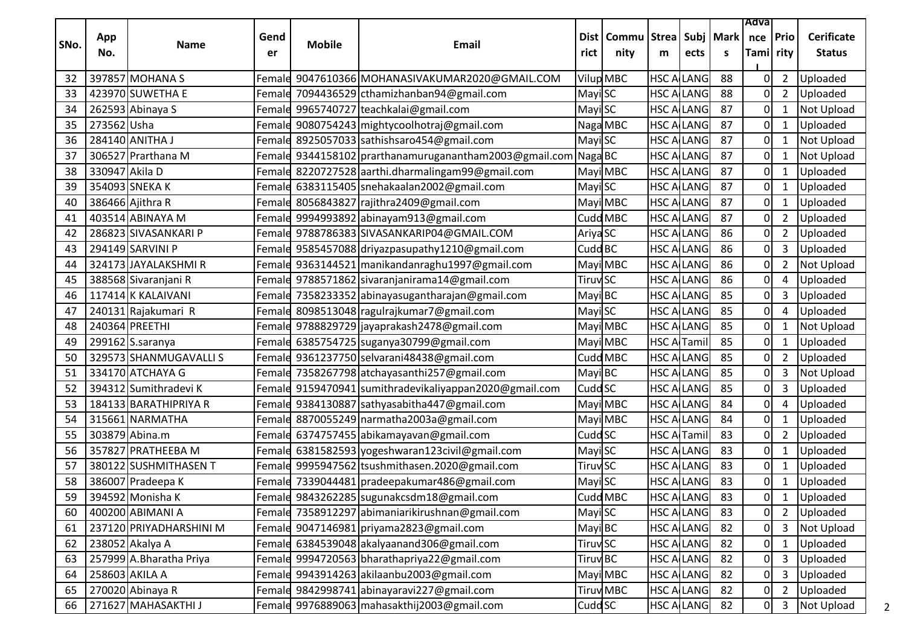|      |                |                         |            |               |                                                                    |                            |                      |                   |                    |                  | Adva             |                |                                    |
|------|----------------|-------------------------|------------|---------------|--------------------------------------------------------------------|----------------------------|----------------------|-------------------|--------------------|------------------|------------------|----------------|------------------------------------|
| SNo. | App<br>No.     | Name                    | Gend<br>er | <b>Mobile</b> | <b>Email</b>                                                       | Dist l<br>rict             | <b>Commu</b><br>nity | <b>Strea</b><br>m | ects               | Subj   Mark<br>S | nce<br>Tami rity | Prio           | <b>Cerificate</b><br><b>Status</b> |
| 32   |                | 397857 MOHANA S         |            |               | Femald 9047610366 MOHANASIVAKUMAR2020@GMAIL.COM                    |                            | Vilup MBC            | HSC A             | <b>LANG</b>        | 88               | 0                | $\overline{2}$ | Uploaded                           |
| 33   |                | 423970 SUWETHA E        |            |               | Female 7094436529 cthamizhanban94@gmail.com                        | Mayi SC                    |                      |                   | <b>HSC ALLANG</b>  | 88               | 0                | $\overline{2}$ | Uploaded                           |
| 34   |                | 262593 Abinaya S        |            |               | Female 9965740727 teachkalai@gmail.com                             | Mayi SC                    |                      |                   | <b>HSC ALLANG</b>  | 87               | 0                | $\mathbf{1}$   | <b>Not Upload</b>                  |
| 35   | 273562 Usha    |                         |            |               | Female 9080754243 mightycoolhotraj@gmail.com                       |                            | Naga MBC             |                   | <b>HSC ALLANG</b>  | 87               | 0                | 1              | Uploaded                           |
| 36   |                | 284140 ANITHA J         |            |               | Female 8925057033 sathishsaro454@gmail.com                         | Mayi SC                    |                      | HSC A             | <b>LANG</b>        | 87               | 0                | $\mathbf{1}$   | <b>Not Upload</b>                  |
| 37   |                | 306527 Prarthana M      |            |               | Femald 9344158102   prarthanamuruganantham2003@gmail.com   Naga BC |                            |                      |                   | <b>HSC ALLANG</b>  | 87               | 0                | 1              | Not Upload                         |
| 38   | 330947 Akila D |                         |            |               | Femald 8220727528 aarthi.dharmalingam99@gmail.com                  |                            | Mayi MBC             |                   | <b>HSC ALLANG</b>  | 87               | 0                | $\mathbf{1}$   | Uploaded                           |
| 39   |                | 354093 SNEKA K          |            |               | Female 6383115405 snehakaalan2002@gmail.com                        | Mayi SC                    |                      |                   | <b>HSC ALLANG</b>  | 87               | 0                | $\mathbf{1}$   | Uploaded                           |
| 40   |                | 386466 Ajithra R        |            |               | Female 8056843827 rajithra2409@gmail.com                           |                            | Mayi MBC             |                   | <b>HSC ALLANG</b>  | 87               | 0                | 1              | Uploaded                           |
| 41   |                | 403514 ABINAYA M        |            |               | Female 9994993892 abinayam913@gmail.com                            |                            | Cudd MBC             |                   | <b>HSC ALLANG</b>  | 87               | 0                | $\overline{2}$ | Uploaded                           |
| 42   |                | 286823 SIVASANKARI P    |            |               | Female 9788786383 SIVASANKARIP04@GMAIL.COM                         | Ariya <sub>SC</sub>        |                      |                   | <b>HSC ALLANG</b>  | 86               | 0                | $\overline{2}$ | Uploaded                           |
| 43   |                | 294149 SARVINI P        |            |               | Female 9585457088 driyazpasupathy1210@gmail.com                    | Cudd BC                    |                      |                   | <b>HSC ALLANG</b>  | 86               | 0                | 3              | Uploaded                           |
| 44   |                | 324173 JAYALAKSHMIR     |            |               | Female 9363144521 manikandanraghu1997@gmail.com                    |                            | Mayi MBC             |                   | <b>HSC ALLANG</b>  | 86               | 0                | $\overline{2}$ | <b>Not Upload</b>                  |
| 45   |                | 388568 Sivaranjani R    |            |               | Female 9788571862 sivaranjanirama14@gmail.com                      | <b>Tiruv</b> <sub>SC</sub> |                      |                   | <b>HSC ALLANG</b>  | 86               | 0                | $\overline{4}$ | Uploaded                           |
| 46   |                | 117414 K KALAIVANI      |            |               | Female 7358233352 abinayasugantharajan@gmail.com                   | Mayi BC                    |                      | HSC A             | LANG               | 85               | 0                | 3              | Uploaded                           |
| 47   |                | 240131 Rajakumari R     |            |               | Female 8098513048 ragulrajkumar7@gmail.com                         | Mayi SC                    |                      |                   | <b>HSC ALLANG</b>  | 85               | 0                | 4              | Uploaded                           |
| 48   |                | 240364 PREETHI          |            |               | Female 9788829729 jayaprakash2478@gmail.com                        |                            | Mayi MBC             |                   | <b>HSC ALLANG</b>  | 85               | 0                | $\mathbf{1}$   | Not Upload                         |
| 49   |                | 299162 S.saranya        |            |               | Female 6385754725 suganya30799@gmail.com                           |                            | Mayi MBC             |                   | <b>HSC A Tamil</b> | 85               | 0                | 1              | Uploaded                           |
| 50   |                | 329573 SHANMUGAVALLI S  |            |               | Femald 9361237750 selvarani48438@gmail.com                         |                            | Cudd MBC             |                   | <b>HSC ALLANG</b>  | 85               | 0                | $\overline{2}$ | Uploaded                           |
| 51   |                | 334170 ATCHAYA G        |            |               | Female 7358267798 atchayasanthi257@gmail.com                       | Mayi BC                    |                      | HSC A             | LANG               | 85               | Ω                | 3              | <b>Not Upload</b>                  |
| 52   |                | 394312 Sumithradevi K   | Femald     |               | 9159470941 sumithradevikaliyappan2020@gmail.com                    | Cudd <sub>SC</sub>         |                      |                   | <b>HSC ALLANG</b>  | 85               | 0                | 3              | Uploaded                           |
| 53   |                | 184133 BARATHIPRIYA R   | Female     |               | 9384130887 sathyasabitha447@gmail.com                              |                            | Mayi MBC             | HSC A             | LANG               | 84               | 0                | 4              | Uploaded                           |
| 54   |                | 315661 NARMATHA         | Female     |               | 8870055249 narmatha2003a@gmail.com                                 |                            | Mayi MBC             |                   | <b>HSC ALLANG</b>  | 84               | 0                | $\mathbf{1}$   | Uploaded                           |
| 55   |                | 303879 Abina.m          |            |               | Female 6374757455 abikamayavan@gmail.com                           | Cudd SC                    |                      | HSC A             | Tamil              | 83               | 0                | $\overline{2}$ | Uploaded                           |
| 56   |                | 357827 PRATHEEBA M      |            |               | Female 6381582593 yogeshwaran123civil@gmail.com                    | Mayi SC                    |                      | HSC A             | <b>LANG</b>        | 83               | 0                | $\mathbf{1}$   | Uploaded                           |
| 57   |                | 380122 SUSHMITHASEN T   | Female     |               | 9995947562 tsushmithasen.2020@gmail.com                            | <b>Tiruv</b> SC            |                      |                   | <b>HSC ALLANG</b>  | 83               | 0                | 1              | Uploaded                           |
| 58   |                | 386007 Pradeepa K       |            |               | Female 7339044481 pradeepakumar486@gmail.com                       | Mayi SC                    |                      |                   | <b>HSC ALLANG</b>  | 83               | 0                | $\mathbf{1}$   | Uploaded                           |
| 59   |                | 394592 Monisha K        |            |               | Female 9843262285 sugunakcsdm18@gmail.com                          |                            | Cudd MBC             | <b>HSC ALLANG</b> |                    | 83               |                  |                | 0 1 Uploaded                       |
| 60   |                | 400200 ABIMANI A        |            |               | Female 7358912297 abimaniarikirushnan@gmail.com                    | Mayi SC                    |                      |                   | <b>HSC ALLANG</b>  | 83               | 0                | $\overline{2}$ | Uploaded                           |
| 61   |                | 237120 PRIYADHARSHINI M |            |               | Female 9047146981 priyama2823@gmail.com                            | Mayi BC                    |                      |                   | <b>HSC ALLANG</b>  | 82               | 0                | $\mathbf{3}$   | Not Upload                         |
| 62   |                | 238052 Akalya A         |            |               | Femald 6384539048 akalyaanand306@gmail.com                         | <b>Tiruv<sub>SC</sub></b>  |                      |                   | <b>HSC ALLANG</b>  | 82               | 0                | $\mathbf{1}$   | Uploaded                           |
| 63   |                | 257999 A.Bharatha Priya |            |               | Female 9994720563 bharathapriya22@gmail.com                        | Tiruv <sub>BC</sub>        |                      |                   | <b>HSC ALLANG</b>  | 82               | 0                | 3              | Uploaded                           |
| 64   |                | 258603 AKILA A          |            |               | Female 9943914263 akilaanbu2003@gmail.com                          |                            | Mayi MBC             |                   | <b>HSC ALLANG</b>  | 82               | 0                | $\mathsf{3}$   | Uploaded                           |
| 65   |                | 270020 Abinaya R        |            |               | Femald 9842998741 abinayaravi227@gmail.com                         |                            | <b>Tiruv</b> MBC     |                   | <b>HSC ALLANG</b>  | 82               | 0                | $\overline{2}$ | Uploaded                           |
| 66   |                | 271627 MAHASAKTHI J     |            |               | Female 9976889063 mahasakthij 2003@gmail.com                       | Cudd <sub>SC</sub>         |                      | <b>HSC ALLANG</b> |                    | 82               | οI               | $\mathbf{3}$   | Not Upload                         |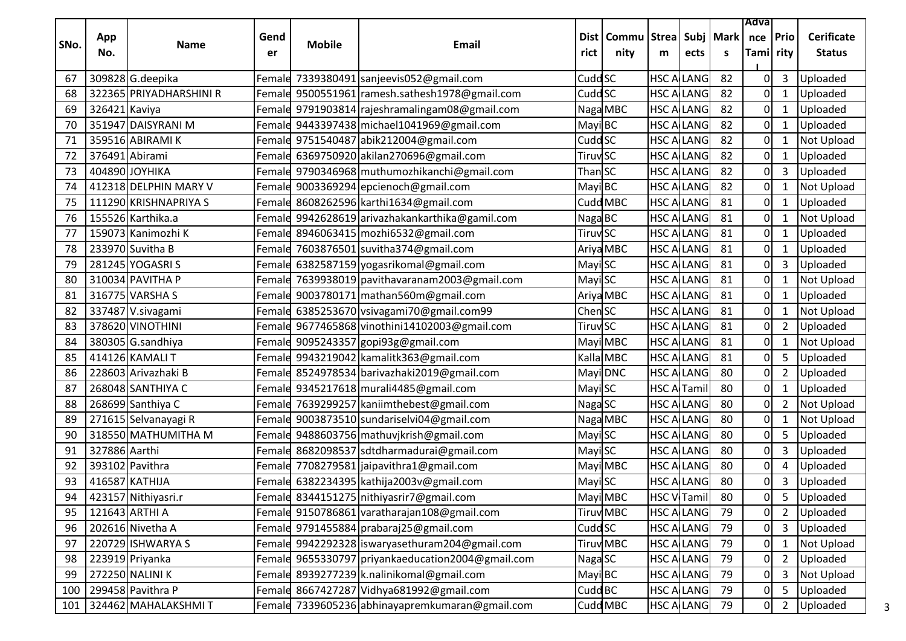|      |               |                         |            |               |                                                   |                            |                      |                               |                   |                  | Adva             |                |                                    |
|------|---------------|-------------------------|------------|---------------|---------------------------------------------------|----------------------------|----------------------|-------------------------------|-------------------|------------------|------------------|----------------|------------------------------------|
| SNo. | App<br>No.    | Name                    | Gend<br>er | <b>Mobile</b> | Email                                             | Dist l<br>rict             | <b>Commu</b><br>nity | <b>Strea</b><br>m             | ects              | Subj   Mark<br>S | nce<br>Tami rity | <b>Prio</b>    | <b>Cerificate</b><br><b>Status</b> |
| 67   |               | 309828 G.deepika        | Female     |               | 7339380491 sanjeevis052@gmail.com                 | Cudd SC                    |                      |                               | <b>HSC ALLANG</b> | 82               | 0                | 3              | Uploaded                           |
| 68   |               | 322365 PRIYADHARSHINI R |            |               | Female 9500551961 ramesh.sathesh1978@gmail.com    | Cudd <sub>SC</sub>         |                      |                               | <b>HSC ALLANG</b> | 82               | 0                | $\mathbf{1}$   | Uploaded                           |
| 69   | 326421 Kaviya |                         |            |               | Female 9791903814 rajeshramalingam08@gmail.com    |                            | Naga MBC             |                               | <b>HSC ALLANG</b> | 82               | 0                | $\mathbf{1}$   | Uploaded                           |
| 70   |               | 351947 DAISYRANI M      |            |               | Female 9443397438 michael 1041969@gmail.com       | Mayi BC                    |                      |                               | <b>HSC ALLANG</b> | 82               | 0                | 1              | Uploaded                           |
| 71   |               | 359516 ABIRAMI K        |            |               | Female 9751540487 abik212004@gmail.com            | Cudd <sub>SC</sub>         |                      | HSC A                         | <b>LANG</b>       | 82               | 0                | $\mathbf{1}$   | Not Upload                         |
| 72   |               | 376491 Abirami          |            |               | Female 6369750920 akilan270696@gmail.com          | <b>Tiruv SC</b>            |                      |                               | <b>HSC ALLANG</b> | 82               | 0                | $\mathbf{1}$   | Uploaded                           |
| 73   |               | 404890 JOYHIKA          |            |               | Female 9790346968 muthumozhikanchi@gmail.com      | Than SC                    |                      |                               | <b>HSC ALLANG</b> | 82               | 0                | 3              | Uploaded                           |
| 74   |               | 412318 DELPHIN MARY V   |            |               | Female 9003369294 epcienoch@gmail.com             | Mayi BC                    |                      |                               | <b>HSC ALLANG</b> | 82               | 0                | $\mathbf{1}$   | <b>Not Upload</b>                  |
| 75   |               | 111290 KRISHNAPRIYA S   | Female     |               | 8608262596 karthi1634@gmail.com                   |                            | Cudd MBC             |                               | <b>HSC ALLANG</b> | 81               | 0                | 1              | Uploaded                           |
| 76   |               | 155526 Karthika.a       |            |               | Female 9942628619 arivazhakankarthika@gamil.com   | Naga BC                    |                      |                               | <b>HSC ALLANG</b> | 81               | 0                | $\mathbf{1}$   | <b>Not Upload</b>                  |
| 77   |               | 159073 Kanimozhi K      |            |               | Female 8946063415 mozhi6532@gmail.com             | <b>Tiruv</b> <sub>SC</sub> |                      |                               | <b>HSC ALLANG</b> | 81               | 0                | 1              | Uploaded                           |
| 78   |               | 233970 Suvitha B        |            |               | Female 7603876501 suvitha374@gmail.com            |                            | Ariya MBC            | HSC A                         | LANG              | 81               | 0                | $\mathbf{1}$   | Uploaded                           |
| 79   |               | 281245 YOGASRIS         |            |               | Female 6382587159 yogasrikomal@gmail.com          | Mayi SC                    |                      |                               | <b>HSC ALLANG</b> | 81               | 0                | 3              | Uploaded                           |
| 80   |               | 310034 PAVITHA P        |            |               | Female 7639938019 pavithavaranam2003@gmail.com    | Mayi SC                    |                      |                               | <b>HSC ALLANG</b> | 81               | 0                | 1              | Not Upload                         |
| 81   |               | 316775 VARSHA S         |            |               | Female 9003780171 mathan560m@gmail.com            |                            | Ariya MBC            |                               | <b>HSC ALLANG</b> | 81               | 0                | $\mathbf{1}$   | Uploaded                           |
| 82   |               | 337487 V.sivagami       |            |               | Female 6385253670 vsivagami70@gmail.com99         | Chen SC                    |                      |                               | <b>HSC ALLANG</b> | 81               | 0                | 1              | Not Upload                         |
| 83   |               | 378620 VINOTHINI        |            |               | Female 9677465868 vinothini14102003@gmail.com     | <b>Tiruv<sub>SC</sub></b>  |                      |                               | <b>HSC ALLANG</b> | 81               | 0                | $\overline{2}$ | Uploaded                           |
| 84   |               | 380305 G.sandhiya       |            |               | Female 9095243357 gopi93g@gmail.com               |                            | Mayi MBC             |                               | <b>HSC ALLANG</b> | 81               | 0                | $\mathbf{1}$   | <b>Not Upload</b>                  |
| 85   |               | 414126 KAMALI T         |            |               | Female 9943219042 kamalitk363@gmail.com           |                            | Kalla MBC            |                               | <b>HSC ALLANG</b> | 81               | 0                | 5              | Uploaded                           |
| 86   |               | 228603 Arivazhaki B     |            |               | Female 8524978534 barivazhaki2019@gmail.com       |                            | Mayi DNC             | HSC A                         | <b>LANG</b>       | 80               | 0                | $\overline{2}$ | Uploaded                           |
| 87   |               | 268048 SANTHIYA C       |            |               | Female 9345217618 murali4485@gmail.com            | Mayi SC                    |                      | HSC A                         | <b>Tamil</b>      | 80               | 0                | 1              | Uploaded                           |
| 88   |               | 268699 Santhiya C       | Female     |               | 7639299257 kaniimthebest@gmail.com                | Naga SC                    |                      | HSC A                         | LANG              | 80               | 0                | $\overline{2}$ | <b>Not Upload</b>                  |
| 89   |               | 271615 Selvanayagi R    |            |               | Female 9003873510 sundariselvi04@gmail.com        |                            | Naga MBC             |                               | <b>HSC ALLANG</b> | 80               | 0                | $\mathbf{1}$   | Not Upload                         |
| 90   |               | 318550 MATHUMITHA M     | Female     |               | 9488603756 mathuvjkrish@gmail.com                 | Mayi SC                    |                      |                               | <b>HSC ALLANG</b> | 80               | 0                | 5              | Uploaded                           |
| 91   | 327886 Aarthi |                         |            |               | Female 8682098537 sdtdharmadurai@gmail.com        | Mayi SC                    |                      | HSC A                         | LANG              | 80               | 0                | 3              | Uploaded                           |
| 92   |               | 393102 Pavithra         | Female     |               | 7708279581 jaipavithra1@gmail.com                 |                            | Mayi MBC             |                               | <b>HSC ALLANG</b> | 80               | 0                | $\overline{4}$ | Uploaded                           |
| 93   |               | 416587 KATHIJA          |            |               | Female 6382234395 kathija2003v@gmail.com          | Mayi SC                    |                      |                               | <b>HSC ALLANG</b> | 80               | 0                | 3              | Uploaded                           |
| 94   |               | 423157 Nithiyasri.r     |            |               | Female 8344151275 nithiyasrir7@gmail.com          |                            | Mayi MBC             | <b>HSC V<sub>I</sub>Tamil</b> |                   | 80               | 0                |                | 5 Uploaded                         |
| 95   |               | 121643 ARTHI A          |            |               | Female 9150786861 varatharajan108@gmail.com       |                            | <b>Tiruv</b> MBC     |                               | <b>HSC ALLANG</b> | 79               | 0                | $\overline{2}$ | Uploaded                           |
| 96   |               | 202616 Nivetha A        |            |               | Female 9791455884 prabaraj25@gmail.com            | <b>Cudd SC</b>             |                      |                               | <b>HSC ALLANG</b> | 79               | 0                | $\mathbf{3}$   | Uploaded                           |
| 97   |               | 220729 ISHWARYA S       |            |               | Female 9942292328 iswaryasethuram204@gmail.com    |                            | <b>Tiruv</b> MBC     |                               | <b>HSC ALLANG</b> | 79               | 0                | $\mathbf{1}$   | Not Upload                         |
| 98   |               | 223919 Priyanka         |            |               | Female 9655330797 priyankaeducation2004@gmail.com | Naga SC                    |                      |                               | <b>HSC ALLANG</b> | 79               | 0                | $\overline{2}$ | Uploaded                           |
| 99   |               | 272250 NALINI K         |            |               | Female 8939277239 k.nalinikomal@gmail.com         | Mayi BC                    |                      |                               | <b>HSC ALLANG</b> | 79               | 0                | $\mathsf{3}$   | Not Upload                         |
| 100  |               | 299458 Pavithra P       | Female     |               | 8667427287 Vidhya681992@gmail.com                 | Cudd BC                    |                      |                               | <b>HSC ALLANG</b> | 79               | 0                | 5              | Uploaded                           |
| 101  |               | 324462 MAHALAKSHMIT     |            |               | Female 7339605236 abhinayapremkumaran@gmail.com   |                            | Cudd MBC             |                               | <b>HSC ALLANG</b> | 79               | οI               | $\overline{2}$ | Uploaded                           |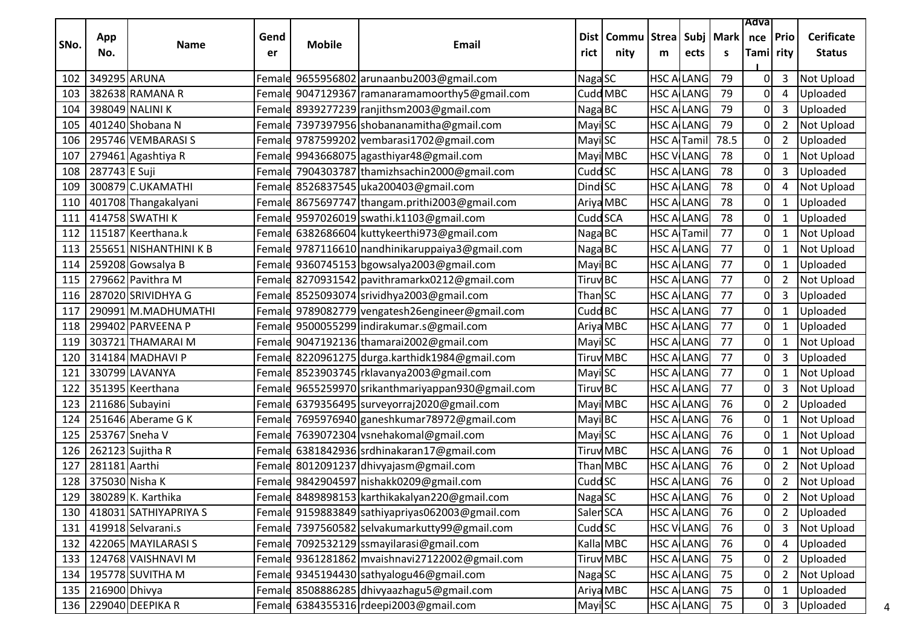|      |                |                           |        |               |                                                   |                     |                                                 |                    |                   |      | Adva             |                |                   |
|------|----------------|---------------------------|--------|---------------|---------------------------------------------------|---------------------|-------------------------------------------------|--------------------|-------------------|------|------------------|----------------|-------------------|
| SNo. | App            | Name                      | Gend   | <b>Mobile</b> | Email                                             |                     | Dist   Commu   Strea   Subj   Mark   nce   Prio |                    |                   |      |                  |                | <b>Cerificate</b> |
|      | No.            |                           | er     |               |                                                   | rict                | nity                                            | m                  | ects              | S.   | Tami rity        |                | <b>Status</b>     |
| 102  | 349295 ARUNA   |                           |        |               | Female 9655956802 arunaanbu2003@gmail.com         | Naga SC             |                                                 |                    | <b>HSC A LANG</b> | 79   | 0                | 3              | Not Upload        |
| 103  |                | 382638 RAMANA R           |        |               | Female 9047129367 ramanaramamoorthy5@gmail.com    |                     | Cudd MBC                                        |                    | <b>HSC A LANG</b> | 79   | $\boldsymbol{0}$ | 4              | Uploaded          |
| 104  |                | 398049 NALINI K           |        |               | Femald 8939277239 ranjithsm2003@gmail.com         | Naga BC             |                                                 |                    | <b>HSC ALLANG</b> | 79   | $\boldsymbol{0}$ | 3              | Uploaded          |
| 105  |                | 401240 Shobana N          |        |               | Female 7397397956 shobananamitha@gmail.com        | Mayi SC             |                                                 |                    | <b>HSC A LANG</b> | 79   | 0                | $\overline{2}$ | Not Upload        |
| 106  |                | 295746 VEMBARASI S        |        |               | Female 9787599202 vembarasi1702@gmail.com         | Mayi SC             |                                                 | <b>HSC A Tamil</b> |                   | 78.5 | 0                | $\overline{2}$ | Uploaded          |
| 107  |                | 279461 Agashtiya R        |        |               | Female 9943668075 agasthiyar48@gmail.com          |                     | Mayi MBC                                        |                    | <b>HSC V LANG</b> | 78   | 0                | 1              | Not Upload        |
| 108  | 287743 E Suji  |                           | Female |               | 7904303787 thamizhsachin2000@gmail.com            | Cudd <sub>SC</sub>  |                                                 |                    | <b>HSC A LANG</b> | 78   | $\mathbf 0$      | 3              | Uploaded          |
| 109  |                | 300879 C.UKAMATHI         |        |               | Female 8526837545 uka200403@gmail.com             | <b>DindiSC</b>      |                                                 |                    | <b>HSC A LANG</b> | 78   | $\boldsymbol{0}$ | 4              | Not Upload        |
| 110  |                | 401708 Thangakalyani      |        |               | Female 8675697747 thangam.prithi2003@gmail.com    |                     | Ariya MBC                                       |                    | <b>HSC A LANG</b> | 78   | 0                | 1              | Uploaded          |
| 111  |                | 414758 SWATHI K           |        |               | Female 9597026019 swathi.k1103@gmail.com          | Cudd SCA            |                                                 |                    | <b>HSC A LANG</b> | 78   | 0                | $\mathbf{1}$   | Uploaded          |
| 112  |                | 115187 Keerthana.k        | Female |               | 6382686604 kuttykeerthi973@gmail.com              | Naga BC             |                                                 | <b>HSC A Tamil</b> |                   | 77   | 0                | 1              | Not Upload        |
| 113  |                | 255651 NISHANTHINI K B    |        |               | Female 9787116610 nandhinikaruppaiya3@gmail.com   | Naga BC             |                                                 | <b>HSC ALLANG</b>  |                   | 77   | $\mathbf 0$      | $\mathbf{1}$   | Not Upload        |
| 114  |                | 259208 Gowsalya B         |        |               | Female 9360745153 bgowsalya2003@gmail.com         | Mayi BC             |                                                 |                    | <b>HSC ALLANG</b> | 77   | 0                | 1              | Uploaded          |
| 115  |                | 279662 Pavithra M         |        |               | Femald 8270931542   pavithramarkx0212@gmail.com   | Tiruv BC            |                                                 |                    | <b>HSC A LANG</b> | 77   | 0                | 2              | Not Upload        |
| 116  |                | 287020 SRIVIDHYA G        |        |               | Female 8525093074 srividhya2003@gmail.com         | Than SC             |                                                 |                    | <b>HSC A LANG</b> | 77   | 0                | 3              | Uploaded          |
| 117  |                | 290991 M.MADHUMATHI       |        |               | Female 9789082779 vengatesh26engineer@gmail.com   | Cudd <sub>BC</sub>  |                                                 |                    | <b>HSC A LANG</b> | 77   | 0                | 1              | Uploaded          |
| 118  |                | 299402 PARVEENA P         | Female |               | 9500055299   indirakumar.s@gmail.com              |                     | Ariya MBC                                       |                    | <b>HSC A LANG</b> | 77   | 0                | $\mathbf{1}$   | Uploaded          |
| 119  |                | 303721 THAMARAI M         |        |               | Female 9047192136 thamarai2002@gmail.com          | Mayi SC             |                                                 |                    | <b>HSC A LANG</b> | 77   | 0                | $\mathbf{1}$   | <b>Not Upload</b> |
| 120  |                | 314184 MADHAVI P          | Female |               | 8220961275 durga.karthidk1984@gmail.com           |                     | <b>Tiruv</b> MBC                                |                    | <b>HSC A LANG</b> | 77   | 0                | 3              | Uploaded          |
| 121  |                | 330799 LAVANYA            |        |               | Female 8523903745 rklavanya2003@gmail.com         | Mayi SC             |                                                 |                    | <b>HSC ALLANG</b> | 77   | 0                | $\mathbf{1}$   | <b>Not Upload</b> |
| 122  |                | 351395 Keerthana          |        |               | Female 9655259970 srikanthmariyappan930@gmail.com | Tiruv <sup>BC</sup> |                                                 |                    | <b>HSC ALLANG</b> | 77   | 0                | 3              | Not Upload        |
| 123  |                | 211686 Subayini           |        |               | Female 6379356495 surveyorraj2020@gmail.com       |                     | Mayi MBC                                        |                    | <b>HSC A LANG</b> | 76   | $\mathbf 0$      | $\overline{2}$ | Uploaded          |
| 124  |                | 251646 Aberame G K        |        |               | Female 7695976940 ganeshkumar78972@gmail.com      | Mayi BC             |                                                 |                    | <b>HSC ALLANG</b> | 76   | 0                | $\mathbf{1}$   | Not Upload        |
| 125  |                | 253767 Sneha V            |        |               | Female 7639072304 vsnehakomal@gmail.com           | Mayi SC             |                                                 | <b>HSC ALLANG</b>  |                   | 76   | 0                | $\mathbf{1}$   | Not Upload        |
| 126  |                | 262123 Sujitha R          |        |               | Femald 6381842936 srdhinakaran17@gmail.com        |                     | Tiruv MBC                                       |                    | <b>HSC A LANG</b> | 76   | 0                | 1              | <b>Not Upload</b> |
| 127  | 281181 Aarthi  |                           |        |               | Female 8012091237 dhivyajasm@gmail.com            |                     | Than MBC                                        |                    | <b>HSC ALLANG</b> | 76   | 0                | 2              | <b>Not Upload</b> |
| 128  | 375030 Nisha K |                           |        |               | Female 9842904597 nishakk0209@gmail.com           | Cudd <sub>SC</sub>  |                                                 |                    | <b>HSC A LANG</b> | 76   | 0                | $2^{\circ}$    | Not Upload        |
|      |                | 129 380289 K. Karthika    |        |               | Female 8489898153 karthikakalyan220@gmail.com     | Naga <sub>SC</sub>  |                                                 |                    | HSC ALLANG        | 76   | $\mathbf 0$      |                | 2 Not Upload      |
|      |                | 130 418031 SATHIYAPRIYA S |        |               | Femald 9159883849 sathiyapriyas062003@gmail.com   | SalenSCA            |                                                 |                    | <b>HSC ALLANG</b> | 76   | $\mathbf 0$      | $\overline{2}$ | Uploaded          |
|      |                | 131 419918 Selvarani.s    |        |               | Female 7397560582 selvakumarkutty99@gmail.com     | Cudd <sub>SC</sub>  |                                                 |                    | <b>HSC VILANG</b> | 76   | 0                | 3              | Not Upload        |
|      |                | 132 422065 MAYILARASI S   |        |               | Female 7092532129 ssmayilarasi@gmail.com          |                     | Kalla MBC                                       |                    | <b>HSC ALLANG</b> | 76   | 0                | 4              | Uploaded          |
|      |                | 133   124768 VAISHNAVI M  |        |               | Female 9361281862 mvaishnavi27122002@gmail.com    |                     | Tiruv MBC                                       |                    | <b>HSC ALLANG</b> | 75   | $\mathbf 0$      | $\overline{2}$ | Uploaded          |
| 134  |                | 195778 SUVITHA M          |        |               | Female 9345194430 sathyalogu46@gmail.com          | Naga SC             |                                                 |                    | <b>HSC ALLANG</b> | 75   | $\mathbf 0$      | $\overline{2}$ | Not Upload        |
| 135  | 216900 Dhivya  |                           | Female |               | 8508886285 dhivyaazhagu5@gmail.com                |                     | Ariya MBC                                       |                    | <b>HSC ALLANG</b> | 75   | $\pmb{0}$        | $\mathbf{1}$   | Uploaded          |
|      |                | 136 229040 DEEPIKA R      |        |               | Femald 6384355316 rdeepi2003@gmail.com            | Mayi SC             |                                                 |                    | <b>HSC ALANG</b>  | 75   | 0                | 3              | Uploaded          |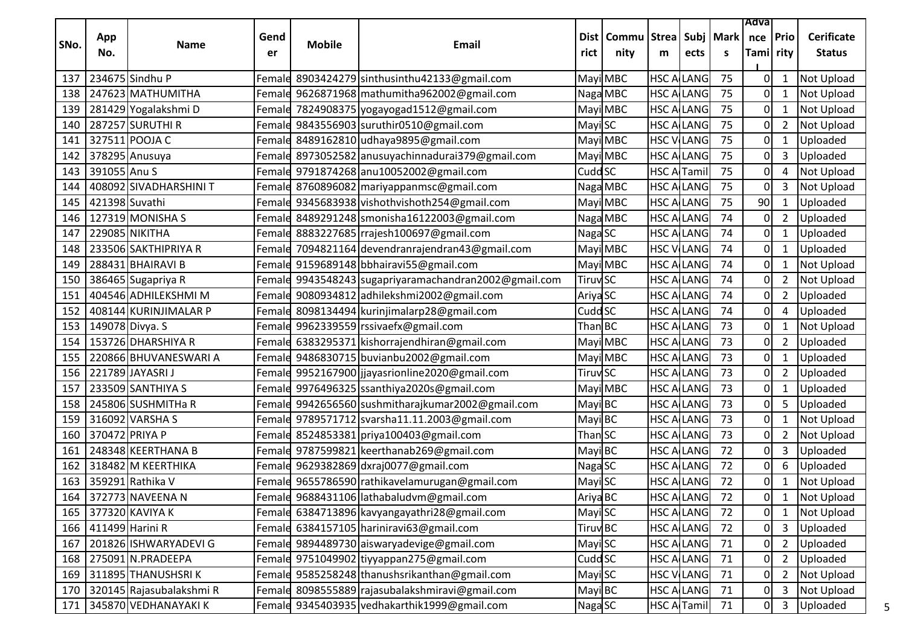|      |                       |                          |        |               |                                                       |                            |          |                    |                    |             | Adva      |                |                   |
|------|-----------------------|--------------------------|--------|---------------|-------------------------------------------------------|----------------------------|----------|--------------------|--------------------|-------------|-----------|----------------|-------------------|
| SNo. | App                   | <b>Name</b>              | Gend   | <b>Mobile</b> | Email                                                 | Dist                       | Commu    | <b>Strea</b>       |                    | Subj   Mark | nce       | Prio           | <b>Cerificate</b> |
|      | No.                   |                          | er     |               |                                                       | rict                       | nity     | m                  | ects               | S           | Tami rity |                | <b>Status</b>     |
| 137  |                       | 234675 Sindhu P          | Female |               | 8903424279 sinthusinthu42133@gmail.com                |                            | Mayi MBC | HSC A              | LANG               | 75          | 0         | 1              | <b>Not Upload</b> |
| 138  |                       | 247623 MATHUMITHA        |        |               | Female 9626871968 mathumitha962002@gmail.com          |                            | Naga MBC |                    | <b>HSC ALLANG</b>  | 75          | 0         | $\mathbf{1}$   | <b>Not Upload</b> |
| 139  |                       | 281429 Yogalakshmi D     | Female |               | 7824908375 yogayogad1512@gmail.com                    |                            | Mayi MBC |                    | <b>HSC ALLANG</b>  | 75          | 0         | 1              | Not Upload        |
| 140  |                       | 287257 SURUTHI R         |        |               | Femald 9843556903 suruthir0510@gmail.com              | Mayi SC                    |          | HSC A              | <b>LANG</b>        | 75          | 0         | $\overline{2}$ | <b>Not Upload</b> |
| 141  |                       | 327511 POOJA C           | Female |               | 8489162810 udhaya9895@gmail.com                       |                            | Mayi MBC |                    | <b>HSC VILANG</b>  | 75          | 0         | 1              | Uploaded          |
| 142  |                       | 378295 Anusuya           |        |               | Female 8973052582 anusuyachinnadurai379@gmail.com     |                            | Mayi MBC |                    | <b>HSC ALLANG</b>  | 75          | 0         | 3              | Uploaded          |
| 143  | 391055 Anu S          |                          |        |               | Female 9791874268 anu10052002@gmail.com               | Cudd <sub>SC</sub>         |          |                    | <b>HSC A Tamil</b> | 75          | 0         | 4              | <b>Not Upload</b> |
| 144  |                       | 408092 SIVADHARSHINI T   |        |               | Female 8760896082   mariyappanmsc@gmail.com           |                            | Naga MBC |                    | <b>HSC ALLANG</b>  | 75          | 0         | 3              | Not Upload        |
| 145  | 421398 Suvathi        |                          |        |               | Female 9345683938 vishothvishoth254@gmail.com         |                            | Mayi MBC | HSC A              | LANG               | 75          | 90        | $\mathbf{1}$   | Uploaded          |
| 146  |                       | 127319 MONISHA S         | Femald |               | 8489291248 smonisha16122003@gmail.com                 |                            | Naga MBC |                    | <b>HSC ALLANG</b>  | 74          | 0         | $\overline{2}$ | Uploaded          |
| 147  |                       | 229085 NIKITHA           | Female |               | 8883227685 rrajesh100697@gmail.com                    | Naga SC                    |          |                    | <b>HSC ALLANG</b>  | 74          | 0         | $\mathbf 1$    | Uploaded          |
| 148  |                       | 233506 SAKTHIPRIYA R     |        |               | Female 7094821164 devendranrajendran43@gmail.com      |                            | Mayi MBC |                    | <b>HSC VILANG</b>  | 74          | 0         | $\mathbf{1}$   | Uploaded          |
| 149  |                       | 288431 BHAIRAVI B        |        |               | Female 9159689148 bbhairavi55@gmail.com               |                            | Mayi MBC |                    | <b>HSC ALLANG</b>  | 74          | 0         | 1              | Not Upload        |
| 150  |                       | 386465 Sugapriya R       |        |               | Femald 9943548243 sugapriyaramachandran2002@gmail.com | <b>Tiruv</b> SC            |          | HSC A              | LANG               | 74          | 0         | $\overline{2}$ | <b>Not Upload</b> |
| 151  |                       | 404546 ADHILEKSHMI M     | Female |               | 9080934812 adhilekshmi2002@gmail.com                  | Ariya <sub>SC</sub>        |          |                    | <b>HSC ALLANG</b>  | 74          | 0         | $\overline{2}$ | Uploaded          |
| 152  |                       | 408144 KURINJIMALAR P    | Female |               | 8098134494 kurinjimalarp28@gmail.com                  | Cudd <sub>SC</sub>         |          |                    | <b>HSC ALLANG</b>  | 74          | 0         | 4              | Uploaded          |
| 153  |                       | 149078 Divya. S          |        |               | Female 9962339559 rssivaefx@gmail.com                 | Than BC                    |          |                    | <b>HSC ALLANG</b>  | 73          | 0         | $\mathbf{1}$   | Not Upload        |
| 154  |                       | 153726 DHARSHIYA R       | Female |               | 6383295371 kishorrajendhiran@gmail.com                |                            | Mayi MBC |                    | <b>HSC ALLANG</b>  | 73          | 0         | $\overline{2}$ | Uploaded          |
| 155  |                       | 220866 BHUVANESWARI A    |        |               | Female 9486830715 buvianbu2002@gmail.com              |                            | Mayi MBC |                    | <b>HSC ALLANG</b>  | 73          | 0         | $\mathbf 1$    | Uploaded          |
| 156  |                       | 221789 JAYASRI J         | Female |               | 9952167900 jjayasrionline2020@gmail.com               | <b>Tiruv</b> <sub>SC</sub> |          |                    | <b>HSC ALLANG</b>  | 73          | 0         | $\overline{2}$ | Uploaded          |
| 157  |                       | 233509 SANTHIYA S        |        |               | Female 9976496325 ssanthiya2020s@gmail.com            |                            | Mayi MBC | HSC A              | LANG               | 73          | 0         | $\mathbf{1}$   | Uploaded          |
| 158  |                       | 245806 SUSHMITHa R       |        |               | Female 9942656560 sushmitharajkumar2002@gmail.com     | Mayi BC                    |          |                    | <b>HSC ALLANG</b>  | 73          | 0         | 5              | Uploaded          |
| 159  |                       | 316092 VARSHA S          |        |               | Female 9789571712 svarsha11.11.2003@gmail.com         | Mayi BC                    |          |                    | <b>HSC ALLANG</b>  | 73          | 0         | 1              | Not Upload        |
| 160  | 370472 PRIYA P        |                          |        |               | Female 8524853381 priya100403@gmail.com               | Than SC                    |          |                    | <b>HSC ALLANG</b>  | 73          | 0         | $\overline{2}$ | <b>Not Upload</b> |
| 161  |                       | 248348 KEERTHANA B       | Female |               | 9787599821 keerthanab269@gmail.com                    | MayiBC                     |          |                    | <b>HSC ALLANG</b>  | 72          | 0         | 3              | Uploaded          |
| 162  |                       | 318482 M KEERTHIKA       |        |               | Female 9629382869 dxraj0077@gmail.com                 | Naga SC                    |          | HSC A              | LANG               | 72          | O         | 6              | Uploaded          |
| 163  |                       | 359291 Rathika V         |        |               | Female 9655786590 rathikavelamurugan@gmail.com        | Mayi SC                    |          |                    | <b>HSC ALLANG</b>  | 72          | 0         | 1              | <b>Not Upload</b> |
| 164  |                       | 372773 NAVEENA N         |        |               | Female 9688431106 lathabaludvm@gmail.com              | Ariya BC                   |          |                    | <b>HSC ALLANG</b>  | 72          | O.        | $\mathbf 1$    | Not Upload        |
|      |                       | 165 377320 KAVIYA K      |        |               | Female 6384713896 kavyangayathri28@gmail.com          | Mayi SC                    |          |                    | <b>HSC ALLANG</b>  | 72          | 01        | $\mathbf{1}$   | <b>Not Upload</b> |
|      | 166   411499 Harini R |                          |        |               | Female 6384157105 hariniravi63@gmail.com              | Tiruv <sub>BC</sub>        |          |                    | <b>HSC ALLANG</b>  | 72          | 0         | 3              | Uploaded          |
| 167  |                       | 201826 ISHWARYADEVI G    |        |               | Female 9894489730 aiswaryadevige@gmail.com            | Mayi SC                    |          |                    | <b>HSC ALLANG</b>  | 71          | 0         | $\overline{2}$ | Uploaded          |
|      |                       | 168 275091 N.PRADEEPA    |        |               | Female 9751049902 tiyyappan275@gmail.com              | Cudd <sub>SC</sub>         |          | <b>HSC ALLANG</b>  |                    | 71          | 0         | $\overline{2}$ | Uploaded          |
| 169  |                       | 311895 THANUSHSRIK       |        |               | Female 9585258248 thanushsrikanthan@gmail.com         | Mayi SC                    |          |                    | <b>HSC VILANG</b>  | 71          |           | $\overline{2}$ | <b>Not Upload</b> |
| 170  |                       | 320145 Rajasubalakshmi R |        |               | Female 8098555889 rajasubalakshmiravi@gmail.com       | Mayi BC                    |          |                    | <b>HSC ALLANG</b>  | 71          | 0         | 3              | Not Upload        |
| 171  |                       | 345870 VEDHANAYAKI K     |        |               | Female 9345403935 vedhakarthik1999@gmail.com          | Naga SC                    |          | <b>HSC A</b> Tamil |                    | 71          | 0         | 3              | Uploaded          |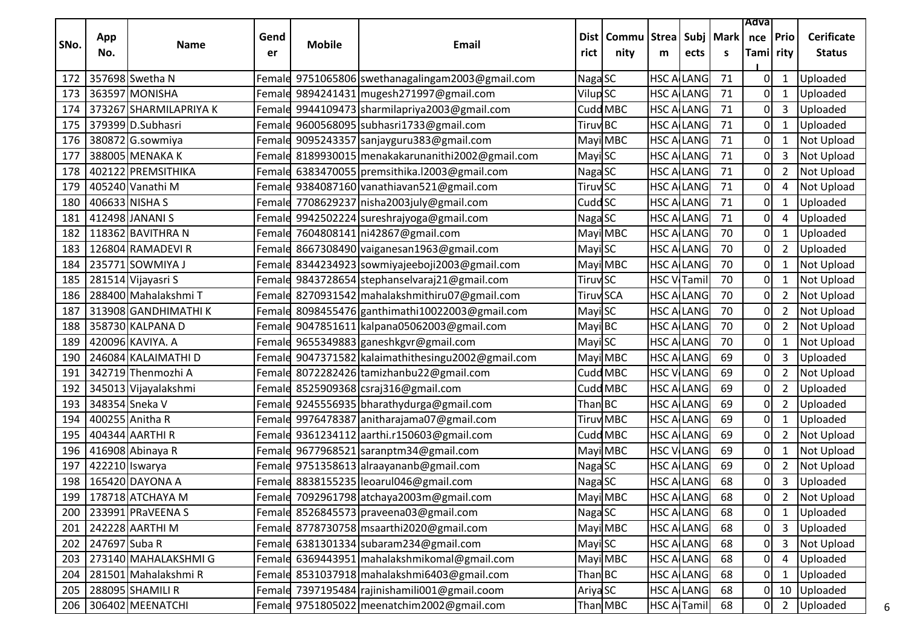|      |               |                        |            |               |                                                  |                     |                                |                    |                         |                    | Adva             |                |                                    |
|------|---------------|------------------------|------------|---------------|--------------------------------------------------|---------------------|--------------------------------|--------------------|-------------------------|--------------------|------------------|----------------|------------------------------------|
| SNo. | App<br>No.    | <b>Name</b>            | Gend<br>er | <b>Mobile</b> | <b>Email</b>                                     | rict                | Dist   Commu   Strea  <br>nity | m                  | ects                    | Subj   Mark  <br>S | nce<br>Tami rity | Prio           | <b>Cerificate</b><br><b>Status</b> |
| 172  |               | 357698 Swetha N        |            |               | Female 9751065806 swethanagalingam2003@gmail.com | Naga SC             |                                |                    | <b>HSC ALLANG</b>       | 71                 | 0                | 1              | Uploaded                           |
| 173  |               | 363597 MONISHA         |            |               | Female 9894241431 mugesh271997@gmail.com         | Vilup <sub>SC</sub> |                                | HSC A              | LANG                    | 71                 | 0                | $\mathbf{1}$   | Uploaded                           |
| 174  |               | 373267 SHARMILAPRIYA K | Female     |               | 9944109473 sharmilapriya2003@gmail.com           |                     | Cudd MBC                       |                    | <b>HSC ALLANG</b>       | 71                 | 0                | 3              | Uploaded                           |
| 175  |               | 379399 D.Subhasri      |            |               | Female 9600568095 subhasri1733@gmail.com         | Tiruv <sub>BC</sub> |                                |                    | <b>HSC ALLANG</b>       | 71                 | 0                | $\mathbf{1}$   | Uploaded                           |
| 176  |               | 380872 G.sowmiya       |            |               | Female 9095243357 sanjayguru383@gmail.com        |                     | Mayi MBC                       | <b>HSC ALLANG</b>  |                         | 71                 | 0                | $\mathbf{1}$   | <b>Not Upload</b>                  |
| 177  |               | 388005 MENAKA K        | Female     |               | 8189930015 menakakarunanithi 2002@gmail.com      | Mayi SC             |                                |                    | <b>HSC ALLANG</b>       | 71                 | 0                | 3              | Not Upload                         |
| 178  |               | 402122 PREMSITHIKA     |            |               | Female 6383470055 premsithika.12003@gmail.com    | Naga SC             |                                | HSC A              | <b>LANG</b>             | 71                 | 0                | $\overline{2}$ | <b>Not Upload</b>                  |
| 179  |               | 405240 Vanathi M       |            |               | Female 9384087160 vanathiavan521@gmail.com       | <b>Tiruv SC</b>     |                                |                    | <b>HSC ALLANG</b>       | 71                 | 0                | $\overline{4}$ | Not Upload                         |
| 180  |               | 406633 NISHA S         |            |               | Female 7708629237 nisha2003july@gmail.com        | Cudd <sub>SC</sub>  |                                |                    | <b>HSC ALLANG</b>       | 71                 | 0                | 1              | Uploaded                           |
| 181  |               | 412498 JANANI S        |            |               | Femald 9942502224 sureshrajyoga@gmail.com        | Naga SC             |                                |                    | <b>HSC ALLANG</b>       | 71                 | 0                | $\overline{a}$ | Uploaded                           |
| 182  |               | 118362 BAVITHRA N      | Female     |               | 7604808141 ni42867@gmail.com                     |                     | Mayi MBC                       |                    | <b>HSC ALLANG</b>       | 70                 | 0                | 1              | Uploaded                           |
| 183  |               | 126804 RAMADEVI R      |            |               | Female 8667308490 vaiganesan1963@gmail.com       | Mayi SC             |                                |                    | <b>HSC ALLANG</b>       | 70                 | 0                | $\overline{2}$ | Uploaded                           |
| 184  |               | 235771 SOWMIYA J       | Female     |               | 8344234923 sowmiyajeeboji2003@gmail.com          |                     | Mayi MBC                       |                    | <b>HSC ALLANG</b>       | 70                 | 0                | 1              | Not Upload                         |
| 185  |               | 281514 Vijayasri S     |            |               | Female 9843728654 stephanselvaraj21@gmail.com    | <b>Tiruv</b> SC     |                                |                    | HSC V <sub>ITamil</sub> | 70                 | 0                | $\mathbf{1}$   | Not Upload                         |
| 186  |               | 288400 Mahalakshmi T   |            |               | Female 8270931542 mahalakshmithiru07@gmail.com   | <b>Tiruv SCA</b>    |                                |                    | <b>HSC ALLANG</b>       | 70                 | 0                | $\overline{2}$ | <b>Not Upload</b>                  |
| 187  |               | 313908 GANDHIMATHI K   | Female     |               | 8098455476 ganthimathi10022003@gmail.com         | Mayi SC             |                                |                    | <b>HSC ALLANG</b>       | 70                 | 0                | $\overline{2}$ | Not Upload                         |
| 188  |               | 358730 KALPANA D       |            |               | Female 9047851611 kalpana05062003@gmail.com      | Mayi BC             |                                |                    | <b>HSC ALLANG</b>       | 70                 | 0                | $\overline{2}$ | <b>Not Upload</b>                  |
| 189  |               | 420096 KAVIYA. A       | Female     |               | 9655349883 ganeshkgvr@gmail.com                  | Mayi SC             |                                |                    | <b>HSC ALLANG</b>       | 70                 | 0                | 1              | Not Upload                         |
| 190  |               | 246084 KALAIMATHI D    | Female     |               | 9047371582 kalaimathithesingu2002@gmail.com      |                     | Mayi MBC                       | HSC A              | <b>LANG</b>             | 69                 | 0                | 3              | Uploaded                           |
| 191  |               | 342719 Thenmozhi A     |            |               | Female 8072282426 tamizhanbu22@gmail.com         |                     | Cudd MBC                       | <b>HSC VILANG</b>  |                         | 69                 | 0                | $\overline{2}$ | <b>Not Upload</b>                  |
| 192  |               | 345013 Vijayalakshmi   |            |               | Female 8525909368 csraj316@gmail.com             |                     | Cudd MBC                       |                    | <b>HSC ALLANG</b>       | 69                 | 0                | $\overline{2}$ | Uploaded                           |
| 193  |               | 348354 Sneka V         |            |               | Female 9245556935 bharathydurga@gmail.com        | Than BC             |                                |                    | <b>HSC ALLANG</b>       | 69                 | 0                | $\overline{2}$ | Uploaded                           |
| 194  |               | 400255 Anitha R        | Femald     |               | 9976478387 anitharajama07@gmail.com              |                     | <b>Tiruv</b> MBC               |                    | <b>HSC ALLANG</b>       | 69                 | 0                | 1              | Uploaded                           |
| 195  |               | 404344 AARTHIR         |            |               | Female 9361234112 aarthi.r150603@gmail.com       |                     | Cudd MBC                       | HSC A              | LANG                    | 69                 | 0                | $\overline{2}$ | <b>Not Upload</b>                  |
| 196  |               | 416908 Abinaya R       |            |               | Female 9677968521 saranptm34@gmail.com           |                     | Mayi MBC                       | <b>HSC VILANG</b>  |                         | 69                 | 0                | $\mathbf{1}$   | <b>Not Upload</b>                  |
| 197  |               | 422210 Iswarya         |            |               | Female 9751358613 alraayananb@gmail.com          | Naga SC             |                                |                    | <b>HSC ALLANG</b>       | 69                 | 0                | $\overline{2}$ | Not Upload                         |
| 198  |               | 165420 DAYONA A        |            |               | Female 8838155235 leoarul046@gmail.com           | Naga SC             |                                |                    | <b>HSC ALLANG</b>       | 68                 | 0                | $\mathsf{3}$   | Uploaded                           |
| 199  |               | 178718 ATCHAYA M       |            |               | Female 7092961798 atchaya2003m@gmail.com         |                     | Mayi MBC                       | HSC ALLANG         |                         | 68                 |                  | $\overline{2}$ | Not Upload                         |
| 200  |               | 233991 PRaVEENA S      |            |               | Female 8526845573 praveena03@gmail.com           | NagaSC              |                                |                    | <b>HSC ALLANG</b>       | 68                 | 0                | $\mathbf{1}$   | Uploaded                           |
| 201  |               | 242228 AARTHI M        |            |               | Female 8778730758 msaarthi2020@gmail.com         |                     | Mayi MBC                       | <b>HSC ALLANG</b>  |                         | 68                 | 0                | 3              | Uploaded                           |
| 202  | 247697 Suba R |                        |            |               | Female 6381301334 subaram234@gmail.com           | Mayi SC             |                                |                    | <b>HSC ALLANG</b>       | 68                 | 0                | 3              | Not Upload                         |
| 203  |               | 273140 MAHALAKSHMI G   |            |               | Female 6369443951 mahalakshmikomal@gmail.com     |                     | Mayi MBC                       | <b>HSC ALLANG</b>  |                         | 68                 | 0                | 4              | Uploaded                           |
| 204  |               | 281501 Mahalakshmi R   |            |               | Female 8531037918 mahalakshmi6403@gmail.com      | Than <b>BC</b>      |                                |                    | <b>HSC ALLANG</b>       | 68                 | 0                | $\mathbf{1}$   | Uploaded                           |
| 205  |               | 288095 SHAMILI R       |            |               | Female 7397195484 rajinishamili001@gmail.coom    | Ariya SC            |                                |                    | <b>HSC ALLANG</b>       | 68                 | 0                | 10             | Uploaded                           |
| 206  |               | 306402 MEENATCHI       |            |               | Female 9751805022 meenatchim2002@gmail.com       |                     | Than MBC                       | <b>HSC A Tamil</b> |                         | 68                 | $\overline{0}$   | $\overline{2}$ | Uploaded                           |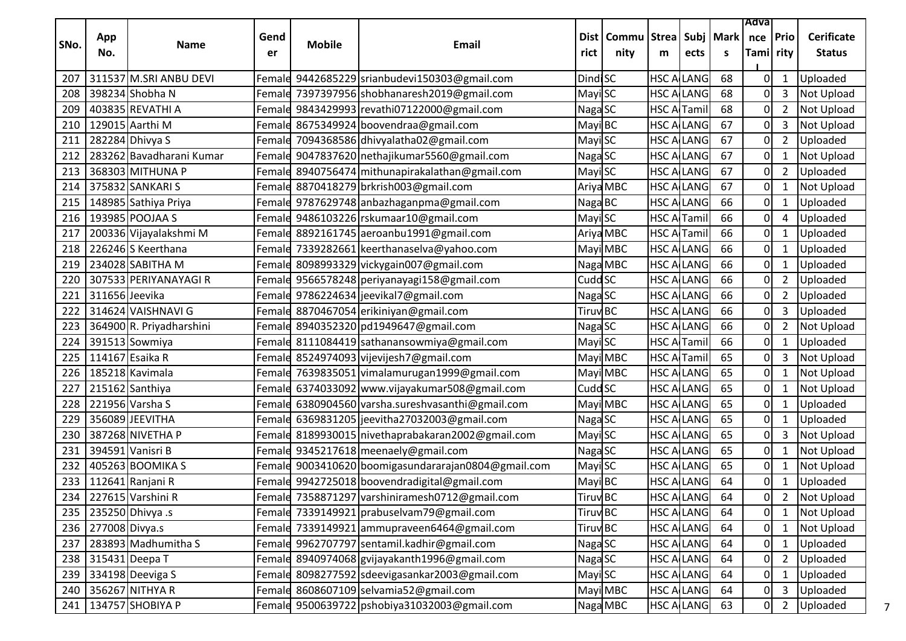|      |                    |                          |            |               |                                                   |                     |                      |                    |                   |           | Adva             |                |                                    |
|------|--------------------|--------------------------|------------|---------------|---------------------------------------------------|---------------------|----------------------|--------------------|-------------------|-----------|------------------|----------------|------------------------------------|
| SNo. | App<br>No.         | <b>Name</b>              | Gend<br>er | <b>Mobile</b> | <b>Email</b>                                      | rict                | Dist   Commu<br>nity | Strea Subj<br>m    | ects              | Mark<br>S | nce<br>Tami rity | <b>Prio</b>    | <b>Cerificate</b><br><b>Status</b> |
| 207  |                    | 311537 M.SRI ANBU DEVI   |            |               | Female 9442685229 srianbudevi150303@gmail.com     | <b>DindiSC</b>      |                      |                    | <b>HSC ALLANG</b> | 68        | 0                | $\mathbf{1}$   | Uploaded                           |
| 208  |                    | 398234 Shobha N          |            |               | Female 7397397956 shobhanaresh2019@gmail.com      | Mayi SC             |                      | <b>HSC ALLANG</b>  |                   | 68        | 0                | 3              | Not Upload                         |
| 209  |                    | 403835 REVATHI A         |            |               | Female 9843429993 revathi07122000@gmail.com       | Naga SC             |                      | <b>HSC ArTamil</b> |                   | 68        | 0                | $\overline{2}$ | Not Upload                         |
| 210  |                    | 129015 Aarthi M          |            |               | Female 8675349924 boovendraa@gmail.com            | MayiBC              |                      | <b>HSC ALLANG</b>  |                   | 67        | 0                | 3              | Not Upload                         |
| 211  |                    | 282284 Dhivya S          |            |               | Female 7094368586 dhivyalatha02@gmail.com         | Mayi SC             |                      | <b>HSC ALLANG</b>  |                   | 67        | 0                | $\overline{2}$ | Uploaded                           |
| 212  |                    | 283262 Bavadharani Kumar |            |               | Female 9047837620 nethajikumar5560@gmail.com      | Naga SC             |                      |                    | <b>HSC ALLANG</b> | 67        | 0                | 1              | Not Upload                         |
| 213  |                    | 368303 MITHUNA P         |            |               | Female 8940756474 mithunapirakalathan@gmail.com   | Mayi SC             |                      | <b>HSC ALLANG</b>  |                   | 67        | 0                | $\overline{2}$ | Uploaded                           |
| 214  |                    | 375832 SANKARI S         |            |               | Female 8870418279 brkrish003@gmail.com            |                     | Ariya MBC            | <b>HSC ALLANG</b>  |                   | 67        | 0                | $\mathbf{1}$   | Not Upload                         |
| 215  |                    | 148985 Sathiya Priya     |            |               | Female 9787629748 anbazhaganpma@gmail.com         | Naga BC             |                      |                    | <b>HSC ALLANG</b> | 66        | 0                | 1              | Uploaded                           |
| 216  |                    | 193985 POOJAA S          |            |               | Female 9486103226 rskumaar10@gmail.com            | Mayi SC             |                      | <b>HSC A Tamil</b> |                   | 66        | 0                | 4              | Uploaded                           |
| 217  |                    | 200336 Vijayalakshmi M   |            |               | Female 8892161745 aeroanbu1991@gmail.com          |                     | Ariya MBC            | HSC A              | <b>Tamil</b>      | 66        | 0                | 1              | Uploaded                           |
| 218  |                    | 226246 S Keerthana       |            |               | Female 7339282661 keerthanaselva@yahoo.com        |                     | Mayi MBC             | <b>HSC ALLANG</b>  |                   | 66        | 0                | $\mathbf{1}$   | Uploaded                           |
| 219  |                    | 234028 SABITHA M         |            |               | Female 8098993329 vickygain007@gmail.com          |                     | Naga MBC             | <b>HSC ALLANG</b>  |                   | 66        | 0                | 1              | Uploaded                           |
| 220  |                    | 307533 PERIYANAYAGI R    |            |               | Female 9566578248 periyanayagi158@gmail.com       | Cudd SC             |                      |                    | <b>HSC ALLANG</b> | 66        | 0                | $\overline{2}$ | Uploaded                           |
| 221  | 311656 Jeevika     |                          |            |               | Female 9786224634 jeevikal7@gmail.com             | Naga SC             |                      | <b>HSC ALLANG</b>  |                   | 66        | 0                | $\overline{2}$ | Uploaded                           |
| 222  |                    | 314624 VAISHNAVI G       |            |               | Female 8870467054 erikiniyan@gmail.com            | Tiruv <sup>BC</sup> |                      |                    | <b>HSC ALLANG</b> | 66        | 0                | 3              | Uploaded                           |
| 223  |                    | 364900 R. Priyadharshini |            |               | Female 8940352320 pd1949647@gmail.com             | Naga SC             |                      |                    | <b>HSC ALLANG</b> | 66        | 0                | $\overline{2}$ | Not Upload                         |
| 224  |                    | 391513 Sowmiya           |            |               | Female 8111084419 sathanansowmiya@gmail.com       | Mayi SC             |                      | <b>HSC ArTamil</b> |                   | 66        | 0                | 1              | Uploaded                           |
| 225  |                    | 114167 Esaika R          |            |               | Female 8524974093 vijevijesh7@gmail.com           |                     | Mayi MBC             | <b>HSC A</b> Tamil |                   | 65        | 0                | 3              | Not Upload                         |
| 226  |                    | 185218 Kavimala          |            |               | Female 7639835051 vimalamurugan1999@gmail.com     |                     | Mayi MBC             | <b>HSC ALLANG</b>  |                   | 65        | 0                | $\mathbf{1}$   | Not Upload                         |
| 227  |                    | 215162 Santhiya          |            |               | Female 6374033092 www.vijayakumar508@gmail.com    | Cudd <sub>SC</sub>  |                      | <b>HSC ALLANG</b>  |                   | 65        | 0                | 1              | Not Upload                         |
| 228  |                    | 221956 Varsha S          |            |               | Female 6380904560 varsha.sureshvasanthi@gmail.com |                     | Mayi MBC             | <b>HSC ALLANG</b>  |                   | 65        | 0                | $\mathbf{1}$   | Uploaded                           |
| 229  |                    | 356089 JEEVITHA          |            |               | Female 6369831205 jeevitha27032003@gmail.com      | NagaSC              |                      | <b>HSC ALLANG</b>  |                   | 65        | 0                | 1              | Uploaded                           |
| 230  |                    | 387268 NIVETHA P         |            |               | Female 8189930015 nivethaprabakaran2002@gmail.com | Mayi SC             |                      |                    | <b>HSC ALLANG</b> | 65        | 0                | 3              | Not Upload                         |
| 231  |                    | 394591 Vanisri B         |            |               | Female 9345217618 meenaely@gmail.com              | Naga SC             |                      | <b>HSC ALLANG</b>  |                   | 65        | 0                | $\mathbf{1}$   | Not Upload                         |
| 232  |                    | 405263 BOOMIKA S         | Female     |               | 9003410620 boomigasundararajan0804@gmail.com      | Mayi SC             |                      |                    | <b>HSC ALLANG</b> | 65        | 0                | 1              | Not Upload                         |
| 233  |                    | 112641 Ranjani R         |            |               | Female 9942725018 boovendradigital@gmail.com      | Mayi BC             |                      | <b>HSC ALLANG</b>  |                   | 64        | 0                | $\mathbf{1}$   | Uploaded                           |
|      |                    | 234 227615 Varshini R    |            |               | Female 7358871297 varshiniramesh0712@gmail.com    | Tiruv BC            |                      | <b>HSC ALLANG</b>  |                   | 64        |                  |                | 0 2 Not Upload                     |
| 235  |                    | 235250 Dhivya .s         |            |               | Female 7339149921 prabuselvam79@gmail.com         | Tiruv <sub>BC</sub> |                      |                    | <b>HSC ALLANG</b> | 64        | 0                | 1              | <b>Not Upload</b>                  |
|      | 236 277008 Divya.s |                          |            |               | Female 7339149921 ammupraveen6464@gmail.com       | Tiruv <sub>BC</sub> |                      | <b>HSC ALLANG</b>  |                   | 64        | 0                | $\mathbf{1}$   | Not Upload                         |
| 237  |                    | 283893 Madhumitha S      |            |               | Female 9962707797 sentamil.kadhir@gmail.com       | Naga SC             |                      | <b>HSC ALLANG</b>  |                   | 64        | 0                | $\mathbf{1}$   | Uploaded                           |
| 238  |                    | 315431 Deepa T           |            |               | Female 8940974068 gvijayakanth1996@gmail.com      | Naga SC             |                      | <b>HSC ALLANG</b>  |                   | 64        | 0                | $\overline{2}$ | Uploaded                           |
| 239  |                    | 334198 Deeviga S         |            |               | Female 8098277592 sdeevigasankar2003@gmail.com    | Mayi SC             |                      | <b>HSC ALLANG</b>  |                   | 64        | 0                | $\mathbf{1}$   | Uploaded                           |
| 240  |                    | 356267 NITHYA R          |            |               | Female 8608607109 selvamia52@gmail.com            |                     | Mayi MBC             | <b>HSC ALLANG</b>  |                   | 64        | 0                | 3              | Uploaded                           |
| 241  |                    | 134757 SHOBIYA P         |            |               | Female 9500639722 pshobiya31032003@gmail.com      |                     | Naga MBC             | <b>HSC ALLANG</b>  |                   | 63        | οI               | $\overline{2}$ | Uploaded                           |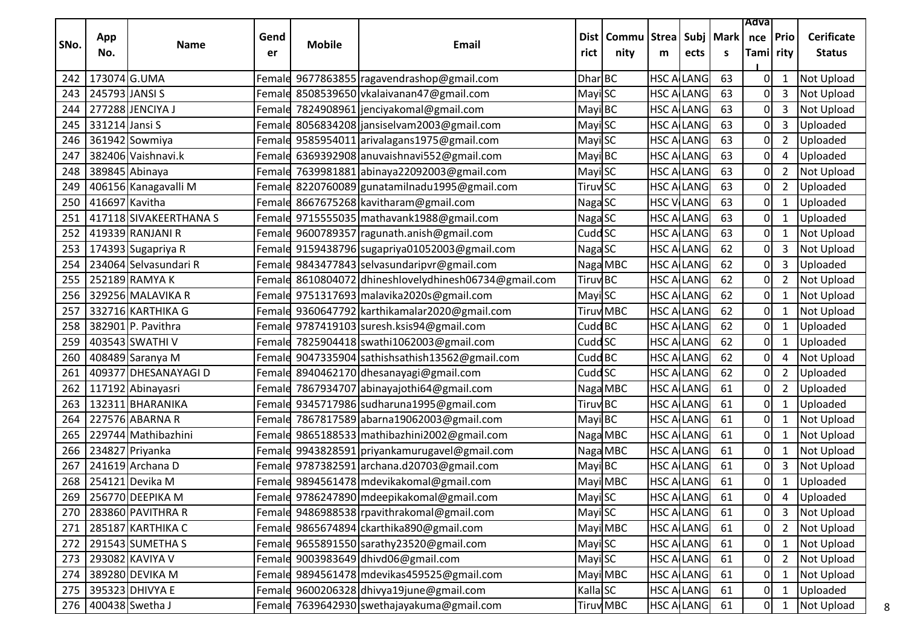|      |                |                        |            |               |                                                       |                     |                                              |                   |                   |    | Adva                    |                |                                    |
|------|----------------|------------------------|------------|---------------|-------------------------------------------------------|---------------------|----------------------------------------------|-------------------|-------------------|----|-------------------------|----------------|------------------------------------|
| SNo. | App<br>No.     | <b>Name</b>            | Gend<br>er | <b>Mobile</b> | Email                                                 | rict                | Dist   Commu   Strea   Subj   Mark  <br>nity | m                 | ects              | S. | nce   Prio<br>Tami rity |                | <b>Cerificate</b><br><b>Status</b> |
|      |                |                        |            |               |                                                       |                     |                                              |                   |                   |    |                         |                |                                    |
| 242  | 173074 G.UMA   |                        |            |               | Female 9677863855 ragavendrashop@gmail.com            | Dhar BC             |                                              | <b>HSC ALLANG</b> |                   | 63 | $\mathbf 0$             | $\mathbf{1}$   | Not Upload                         |
| 243  | 245793 JANSI S |                        |            |               | Female 8508539650 vkalaivanan47@gmail.com             | Mayi SC             |                                              |                   | <b>HSC A LANG</b> | 63 | 0                       | 3              | Not Upload                         |
| 244  |                | 277288 JENCIYA J       |            |               | Female 7824908961 jenciyakomal@gmail.com              | Mayi BC             |                                              |                   | <b>HSC ALLANG</b> | 63 | 0                       | 3              | Not Upload                         |
| 245  | 331214 Jansi S |                        |            |               | Female 8056834208 jansiselvam2003@gmail.com           | Mayi SC             |                                              |                   | <b>HSC ALLANG</b> | 63 | $\mathbf 0$             | $\mathsf{3}$   | Uploaded                           |
| 246  |                | 361942 Sowmiya         | Female     |               | 9585954011 arivalagans1975@gmail.com                  | Mayi SC             |                                              |                   | <b>HSC A LANG</b> | 63 | $\mathbf 0$             | $\overline{2}$ | Uploaded                           |
| 247  |                | 382406 Vaishnavi.k     | Female     |               | 6369392908 anuvaishnavi552@gmail.com                  | Mayi BC             |                                              | <b>HSC A LANG</b> |                   | 63 | $\mathbf 0$             | 4              | Uploaded                           |
| 248  | 389845 Abinaya |                        |            |               | Female 7639981881 abinaya22092003@gmail.com           | Mayi SC             |                                              |                   | <b>HSC ALLANG</b> | 63 | 0                       | $\overline{2}$ | <b>Not Upload</b>                  |
| 249  |                | 406156 Kanagavalli M   | Female     |               | 8220760089 gunatamilnadu1995@gmail.com                | Tiruv <sub>SC</sub> |                                              |                   | <b>HSC ALLANG</b> | 63 | 0                       | 2              | Uploaded                           |
| 250  | 416697 Kavitha |                        |            |               | Female 8667675268 kavitharam@gmail.com                | Naga SC             |                                              |                   | <b>HSC VILANG</b> | 63 | 0                       | $\mathbf{1}$   | Uploaded                           |
| 251  |                | 417118 SIVAKEERTHANA S |            |               | Female 9715555035 mathavank1988@gmail.com             | Naga SC             |                                              |                   | <b>HSC A LANG</b> | 63 | $\mathbf 0$             | 1              | Uploaded                           |
| 252  |                | 419339 RANJANI R       |            |               | Female 9600789357 ragunath.anish@gmail.com            | Cudd <sub>SC</sub>  |                                              | <b>HSC A LANG</b> |                   | 63 | 0                       | $\mathbf{1}$   | Not Upload                         |
| 253  |                | 174393 Sugapriya R     |            |               | Femald 9159438796 sugapriya01052003@gmail.com         | NagaSC              |                                              | <b>HSC A LANG</b> |                   | 62 | $\boldsymbol{0}$        | 3              | Not Upload                         |
| 254  |                | 234064 Selvasundari R  | Female     |               | 9843477843 selvasundaripvr@gmail.com                  |                     | Naga MBC                                     |                   | <b>HSC A LANG</b> | 62 | 0                       | 3              | Uploaded                           |
| 255  |                | 252189 RAMYA K         |            |               | Female 8610804072 dhineshlovelydhinesh06734@gmail.com | <b>Tiruv BC</b>     |                                              |                   | <b>HSC ALLANG</b> | 62 | 0                       | $\overline{2}$ | Not Upload                         |
| 256  |                | 329256 MALAVIKA R      | Female     |               | 9751317693 malavika2020s@gmail.com                    | Mayi SC             |                                              | <b>HSC ALLANG</b> |                   | 62 | $\mathbf 0$             | $\mathbf{1}$   | Not Upload                         |
| 257  |                | 332716 KARTHIKA G      |            |               | Female 9360647792 karthikamalar2020@gmail.com         |                     | <b>Tiruv</b> MBC                             | <b>HSC A LANG</b> |                   | 62 | 0                       | $\mathbf{1}$   | Not Upload                         |
| 258  |                | 382901 P. Pavithra     |            |               | Female 9787419103 suresh.ksis94@gmail.com             | Cudd BC             |                                              | <b>HSC ALLANG</b> |                   | 62 | $\boldsymbol{0}$        | $\mathbf{1}$   | Uploaded                           |
| 259  |                | 403543 SWATHI V        |            |               | Female 7825904418 swathi1062003@gmail.com             | Cudd <sub>SC</sub>  |                                              |                   | <b>HSC ALLANG</b> | 62 | 0                       | $\mathbf{1}$   | Uploaded                           |
| 260  |                | 408489 Saranya M       |            |               | Female 9047335904 sathishsathish13562@gmail.com       | Cudd <sub>BC</sub>  |                                              |                   | <b>HSC ALLANG</b> | 62 | 0                       | 4              | Not Upload                         |
| 261  |                | 409377 DHESANAYAGI D   | Female     |               | 8940462170 dhesanayagi@gmail.com                      | Cudd <sub>SC</sub>  |                                              |                   | <b>HSC A LANG</b> | 62 | 0                       | $\overline{2}$ | Uploaded                           |
| 262  |                | 117192 Abinayasri      | Female     |               | 7867934707 abinayajothi64@gmail.com                   |                     | Naga MBC                                     | <b>HSC A LANG</b> |                   | 61 | 0                       | $\overline{2}$ | Uploaded                           |
| 263  |                | 132311 BHARANIKA       |            |               | Female 9345717986 sudharuna1995@gmail.com             | <b>Tiruv BC</b>     |                                              |                   | <b>HSC A LANG</b> | 61 | $\boldsymbol{0}$        | $\mathbf{1}$   | Uploaded                           |
| 264  |                | 227576 ABARNA R        | Female     |               | 7867817589 abarna19062003@gmail.com                   | Mayi BC             |                                              |                   | <b>HSC ALLANG</b> | 61 | 0                       | 1              | Not Upload                         |
| 265  |                | 229744 Mathibazhini    |            |               | Female 9865188533 mathibazhini 2002@gmail.com         |                     | Naga MBC                                     |                   | <b>HSC ALLANG</b> | 61 | 0                       | $\mathbf{1}$   | Not Upload                         |
| 266  |                | 234827 Priyanka        | Female     |               | 9943828591 priyankamurugavel@gmail.com                |                     | Naga MBC                                     |                   | <b>HSC A LANG</b> | 61 | 0                       | 1              | Not Upload                         |
| 267  |                | 241619 Archana D       |            |               | Female 9787382591 archana.d20703@gmail.com            | Mayi BC             |                                              | <b>HSC A LANG</b> |                   | 61 | $\mathbf 0$             | 3              | Not Upload                         |
| 268  |                | 254121 Devika M        |            |               | Female 9894561478 mdevikakomal@gmail.com              |                     | Mayi MBC                                     |                   | <b>HSC A LANG</b> | 61 | $\mathbf 0$             | $\mathbf{1}$   | Uploaded                           |
| 269  |                | 256770 DEEPIKA M       |            |               | Female 9786247890 mdeepikakomal@gmail.com             | Mayi SC             |                                              |                   | <b>HSC ALLANG</b> | 61 | 0                       | 4              | Uploaded                           |
|      |                | 270 283860 PAVITHRA R  |            |               | Female 9486988538 rpavithrakomal@gmail.com            | MayiSC              |                                              |                   | <b>HSC ALLANG</b> | 61 | 0                       | $\mathbf{3}$   | Not Upload                         |
| 271  |                | 285187 KARTHIKA C      |            |               | Female 9865674894 ckarthika890@gmail.com              |                     | Mayi MBC                                     |                   | <b>HSC ALLANG</b> | 61 | 0                       | $\overline{2}$ | Not Upload                         |
|      |                | 272 291543 SUMETHA S   |            |               | Female 9655891550 sarathy23520@gmail.com              | Mayi SC             |                                              |                   | <b>HSC ALANG</b>  | 61 | 0                       | $\mathbf{1}$   | Not Upload                         |
|      |                | 273 293082 KAVIYA V    |            |               | Femald 9003983649 dhivd06@gmail.com                   | MayiSC              |                                              |                   | <b>HSC ALLANG</b> | 61 | 0                       | $\overline{2}$ | Not Upload                         |
|      |                | 274 389280 DEVIKA M    |            |               | Female 9894561478 mdevikas459525@gmail.com            |                     | Mayi MBC                                     | <b>HSC A LANG</b> |                   | 61 | 0                       | $\mathbf{1}$   | Not Upload                         |
|      |                | 275 395323 DHIVYA E    |            |               | Female 9600206328 dhivya19june@gmail.com              | KallaSC             |                                              |                   | <b>HSC ALANG</b>  | 61 | 0                       | $\mathbf{1}$   | Uploaded                           |
|      |                | 276 400438 Swetha J    |            |               | Female 7639642930 swethajayakuma@gmail.com            |                     | <b>Tiruv</b> MBC                             |                   | <b>HSC ALLANG</b> | 61 | 0                       | $\mathbf{1}$   | Not Upload                         |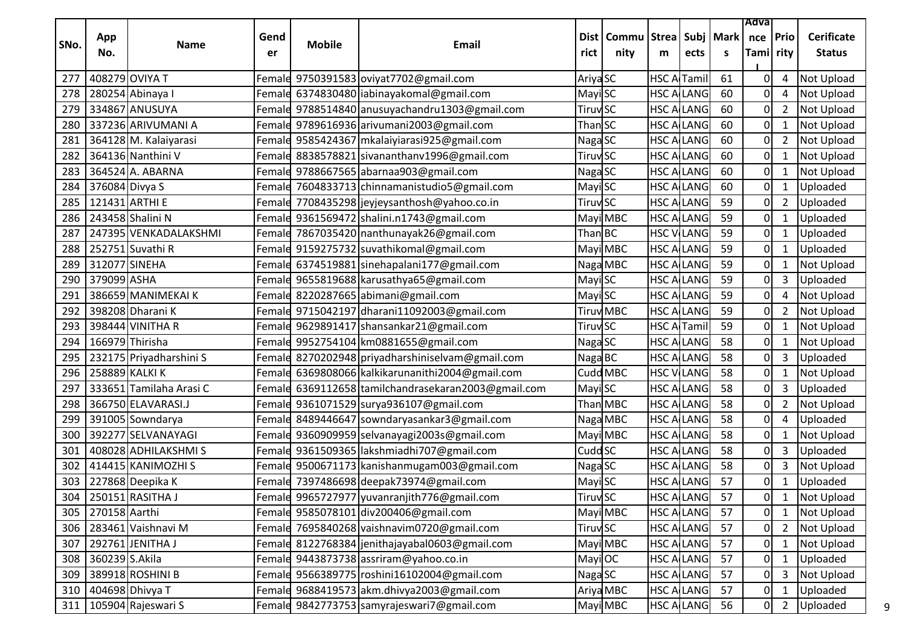|      |                    |                          |            |               |                                                  |                            |                                              |                    |                    |    | Adva                  |                |                                    |
|------|--------------------|--------------------------|------------|---------------|--------------------------------------------------|----------------------------|----------------------------------------------|--------------------|--------------------|----|-----------------------|----------------|------------------------------------|
| SNo. | App<br>No.         | <b>Name</b>              | Gend<br>er | <b>Mobile</b> | Email                                            | rict                       | Dist   Commu   Strea   Subj   Mark  <br>nity | m                  | ects               | S. | nce Prio<br>Tami rity |                | <b>Cerificate</b><br><b>Status</b> |
| 277  | 408279 OVIYA T     |                          |            |               | Female 9750391583 oviyat7702@gmail.com           | Ariya <sub>SC</sub>        |                                              | <b>HSC A Tamil</b> |                    | 61 | 0                     | 4              | Not Upload                         |
| 278  |                    | 280254 Abinaya I         |            |               | Femald 6374830480 iabinayakomal@gmail.com        | Mayi SC                    |                                              |                    | <b>HSC A LANG</b>  | 60 | 0                     | 4              | Not Upload                         |
| 279  |                    | 334867 ANUSUYA           |            |               | Femald 9788514840 anusuyachandru1303@gmail.com   | Tiruv <sub>SC</sub>        |                                              |                    | <b>HSC ALLANG</b>  | 60 | 0                     | $\overline{2}$ | Not Upload                         |
| 280  |                    | 337236 ARIVUMANI A       |            |               | Female 9789616936 arivumani2003@gmail.com        | Than SC                    |                                              |                    | <b>HSC ALLANG</b>  | 60 | 0                     | $\mathbf{1}$   | Not Upload                         |
| 281  |                    | 364128 M. Kalaiyarasi    | Female     |               | 9585424367 mkalaiyiarasi925@gmail.com            | Naga SC                    |                                              |                    | <b>HSC A LANG</b>  | 60 | 0                     | 2              | Not Upload                         |
| 282  |                    | 364136 Nanthini V        |            |               | Female 8838578821 sivananthanv1996@gmail.com     | <b>Tiruv</b> SC            |                                              |                    | <b>HSC A LANG</b>  | 60 | 0                     | $\mathbf{1}$   | Not Upload                         |
| 283  |                    | 364524 A. ABARNA         |            |               | Female 9788667565 abarnaa903@gmail.com           | Naga SC                    |                                              |                    | <b>HSC A LANG</b>  | 60 | 0                     | $\mathbf{1}$   | Not Upload                         |
| 284  | 376084 Divya S     |                          | Female     |               | 7604833713 chinnamanistudio5@gmail.com           | Mayi SC                    |                                              |                    | <b>HSC ALLANG</b>  | 60 | 0                     | 1              | Uploaded                           |
| 285  | 121431 ARTHI E     |                          |            |               | Female 7708435298 jeyjeysanthosh@yahoo.co.in     | <b>Tiruv</b> <sub>SC</sub> |                                              |                    | <b>HSC A LANG</b>  | 59 | 0                     | $\overline{2}$ | Uploaded                           |
| 286  |                    | 243458 Shalini N         | Female     |               | 9361569472 shalini.n1743@gmail.com               |                            | Mayi MBC                                     |                    | <b>HSC A LANG</b>  | 59 | 0                     | $\mathbf{1}$   | Uploaded                           |
| 287  |                    | 247395 VENKADALAKSHMI    | Female     |               | 7867035420 nanthunayak26@gmail.com               | Than <b>BC</b>             |                                              |                    | <b>HSC V LANG</b>  | 59 | 0                     | $\mathbf{1}$   | Uploaded                           |
| 288  |                    | 252751 Suvathi R         |            |               | Female 9159275732 suvathikomal@gmail.com         |                            | Mayi MBC                                     |                    | <b>HSC A LANG</b>  | 59 | 0                     | $\mathbf{1}$   | Uploaded                           |
| 289  | 312077 SINEHA      |                          |            |               | Femald 6374519881 sinehapalani177@gmail.com      |                            | Naga MBC                                     | <b>HSC A LANG</b>  |                    | 59 | 0                     | 1              | Not Upload                         |
| 290  | 379099 ASHA        |                          |            |               | Female 9655819688 karusathya65@gmail.com         | Mayi SC                    |                                              |                    | <b>HSC ALLANG</b>  | 59 | $\mathbf 0$           | 3              | Uploaded                           |
| 291  |                    | 386659 MANIMEKAI K       | Female     |               | 8220287665 abimani@gmail.com                     | Mayi SC                    |                                              | <b>HSC ALLANG</b>  |                    | 59 | $\mathbf 0$           | 4              | Not Upload                         |
| 292  |                    | 398208 Dharani K         |            |               | Female 9715042197 dharani11092003@gmail.com      |                            | Tiruv MBC                                    |                    | <b>HSC A LANG</b>  | 59 | $\mathbf 0$           | $\overline{2}$ | Not Upload                         |
| 293  |                    | 398444 VINITHA R         |            |               | Female 9629891417 shansankar21@gmail.com         | <b>Tiruv</b> SC            |                                              |                    | <b>HSC A Tamil</b> | 59 | $\boldsymbol{0}$      | $\mathbf{1}$   | <b>Not Upload</b>                  |
| 294  | 166979 Thirisha    |                          |            |               | Female 9952754104 km0881655@gmail.com            | Naga SC                    |                                              |                    | <b>HSC ALLANG</b>  | 58 | 0                     | 1              | Not Upload                         |
| 295  |                    | 232175 Priyadharshini S  |            |               | Female 8270202948 priyadharshiniselvam@gmail.com | Naga BC                    |                                              |                    | <b>HSC ALLANG</b>  | 58 | 0                     | 3              | Uploaded                           |
| 296  | 258889 KALKI K     |                          | Female     |               | 6369808066 kalkikarunanithi 2004@gmail.com       |                            | Cudd MBC                                     |                    | <b>HSC V LANG</b>  | 58 | 0                     | 1              | Not Upload                         |
| 297  |                    | 333651 Tamilaha Arasi C  | Female     |               | 6369112658 tamilchandrasekaran2003@gmail.com     | Mayi SC                    |                                              | <b>HSC ALLANG</b>  |                    | 58 | 0                     | 3              | Uploaded                           |
| 298  |                    | 366750 ELAVARASI.J       |            |               | Female 9361071529 surya936107@gmail.com          |                            | Than MBC                                     |                    | <b>HSC A LANG</b>  | 58 | 0                     | $\overline{2}$ | Not Upload                         |
| 299  |                    | 391005 Sowndarya         | Femald     |               | 8489446647 sowndaryasankar3@gmail.com            |                            | Naga MBC                                     |                    | <b>HSC ALLANG</b>  | 58 | 0                     | 4              | Uploaded                           |
| 300  |                    | 392277 SELVANAYAGI       |            |               | Female 9360909959 selvanayagi2003s@gmail.com     |                            | Mayi MBC                                     |                    | <b>HSC A LANG</b>  | 58 | 0                     | $\mathbf{1}$   | Not Upload                         |
| 301  |                    | 408028 ADHILAKSHMIS      | Female     |               | 9361509365 lakshmiadhi707@gmail.com              | Cudd <sub>SC</sub>         |                                              | <b>HSC A LANG</b>  |                    | 58 | $\mathbf 0$           | 3              | Uploaded                           |
| 302  |                    | 414415 KANIMOZHI S       |            |               | Female 9500671173 kanishanmugam003@gmail.com     | Naga SC                    |                                              | <b>HSC ALLANG</b>  |                    | 58 | $\mathbf 0$           | 3              | Not Upload                         |
| 303  |                    | 227868 Deepika K         |            |               | Female 7397486698 deepak73974@gmail.com          | Mayi SC                    |                                              |                    | <b>HSC ALLANG</b>  | 57 | $\mathbf 0$           | $\mathbf{1}$   | Uploaded                           |
| 304  |                    | 250151 RASITHA J         |            |               | Female 9965727977 yuvanranjith776@gmail.com      | <b>Tiruv<sub>SC</sub></b>  |                                              |                    | <b>HSC ALLANG</b>  | 57 | 0                     | $\mathbf{1}$   | Not Upload                         |
|      | 305 270158 Aarthi  |                          |            |               | Female 9585078101 div200406@gmail.com            |                            | Mayi MBC                                     |                    | <b>HSC ALLANG</b>  | 57 | 0                     |                | 1 Not Upload                       |
|      |                    | 306 283461 Vaishnavi M   |            |               | Female 7695840268 vaishnavim0720@gmail.com       | <b>Tiruv<sub>SC</sub></b>  |                                              |                    | <b>HSC A LANG</b>  | 57 | 0                     | $\mathbf{2}$   | Not Upload                         |
|      |                    | 307 292761 JENITHA J     |            |               | Female 8122768384 jenithajayabal0603@gmail.com   |                            | Mayi MBC                                     |                    | <b>HSC ALLANG</b>  | 57 | 0                     | $\mathbf{1}$   | Not Upload                         |
|      | 308 360239 S.Akila |                          |            |               | Female 9443873738 assriram@yahoo.co.in           | Mayi OC                    |                                              |                    | <b>HSC ALLANG</b>  | 57 | 0                     | $\mathbf{1}$   | Uploaded                           |
|      |                    | 309 389918 ROSHINI B     |            |               | Female 9566389775 roshini16102004@gmail.com      | Naga SC                    |                                              |                    | <b>HSC ALLANG</b>  | 57 | 0                     | 3              | Not Upload                         |
|      |                    | 310 404698 Dhivya T      |            |               | Female 9688419573 akm.dhivya2003@gmail.com       |                            | Ariya MBC                                    |                    | <b>HSC ALANG</b>   | 57 | 0                     | $\mathbf{1}$   | Uploaded                           |
|      |                    | 311   105904 Rajeswari S |            |               | Female 9842773753 samyrajeswari7@gmail.com       |                            | Mayi MBC                                     |                    | <b>HSC ALLANG</b>  | 56 | 0                     | $\overline{2}$ | Uploaded<br>9                      |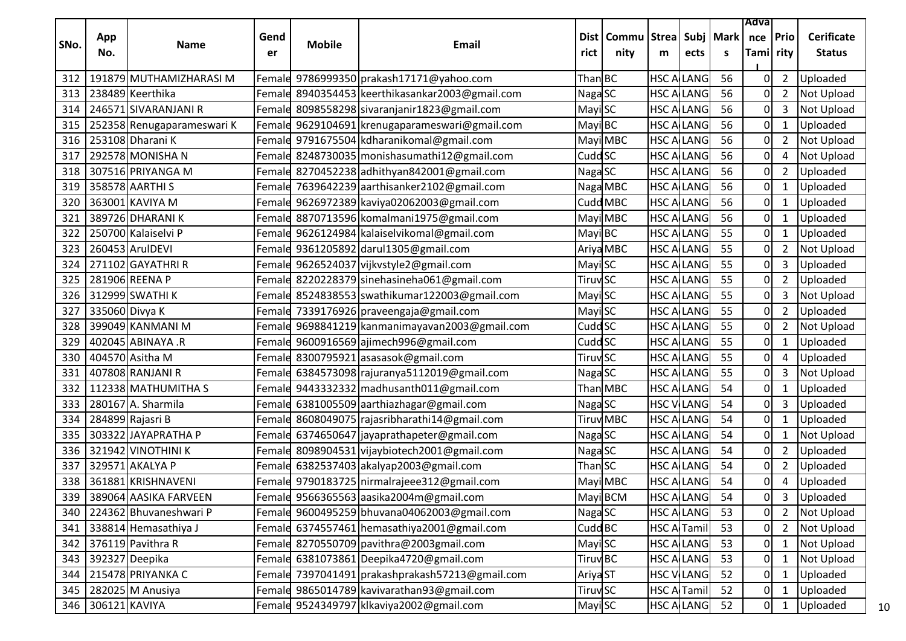|      |                   |                            |        |               |                                                 |                            |           |                    |                    |             | Adva           |                |                   |    |
|------|-------------------|----------------------------|--------|---------------|-------------------------------------------------|----------------------------|-----------|--------------------|--------------------|-------------|----------------|----------------|-------------------|----|
| SNo. | App               | <b>Name</b>                | Gend   | <b>Mobile</b> | Email                                           | Dist l                     | Commu     | <b>Strea</b>       |                    | Subj   Mark | nce            | Prio           | <b>Cerificate</b> |    |
|      | No.               |                            | er     |               |                                                 | rict                       | nity      | m                  | ects               | S           | Tami rity      |                | <b>Status</b>     |    |
| 312  |                   | 191879 MUTHAMIZHARASI M    | Female |               | 9786999350 prakash17171@yahoo.com               | Than BC                    |           | HSC A              | <b>LANG</b>        | 56          | 0              | $\overline{2}$ | Uploaded          |    |
| 313  |                   | 238489 Keerthika           |        |               | Female 8940354453 keerthikasankar2003@gmail.com | Naga SC                    |           |                    | <b>HSC ALLANG</b>  | 56          | 0              | $\overline{2}$ | <b>Not Upload</b> |    |
| 314  |                   | 246571 SIVARANJANI R       |        |               | Female 8098558298 sivaranjanir 1823@gmail.com   | MayiSC                     |           |                    | <b>HSC ALLANG</b>  | 56          | 0              | 3              | Not Upload        |    |
| 315  |                   | 252358 Renugaparameswari K |        |               | Female 9629104691 krenugaparameswari@gmail.com  | Mayi BC                    |           | HSC A              | <b>LANG</b>        | 56          | 0              | $\mathbf{1}$   | Uploaded          |    |
| 316  |                   | 253108 Dharani K           | Female |               | 9791675504 kdharanikomal@gmail.com              |                            | Mayi MBC  |                    | <b>HSC ALLANG</b>  | 56          | 0              | $\overline{2}$ | <b>Not Upload</b> |    |
| 317  |                   | 292578 MONISHA N           |        |               | Female 8248730035 monishasumathi12@gmail.com    | Cudd <sub>SC</sub>         |           |                    | <b>HSC ALLANG</b>  | 56          | 0              | 4              | <b>Not Upload</b> |    |
| 318  |                   | 307516 PRIYANGA M          |        |               | Female 8270452238 adhithyan842001@gmail.com     | NagaSC                     |           |                    | <b>HSC ALLANG</b>  | 56          | 0              | $\overline{2}$ | Uploaded          |    |
| 319  |                   | 358578 AARTHI S            | Female |               | 7639642239 aarthisanker2102@gmail.com           |                            | Naga MBC  |                    | <b>HSC ALLANG</b>  | 56          | 0              | 1              | Uploaded          |    |
| 320  |                   | 363001 KAVIYA M            |        |               | Female 9626972389 kaviya02062003@gmail.com      |                            | Cudd MBC  | HSC A              | LANG               | 56          | 0              | $\mathbf{1}$   | Uploaded          |    |
| 321  |                   | 389726 DHARANI K           | Female |               | 8870713596 komalmani1975@gmail.com              |                            | Mayi MBC  |                    | <b>HSC ALLANG</b>  | 56          | 0              | 1              | Uploaded          |    |
| 322  |                   | 250700 Kalaiselvi P        |        |               | Female 9626124984 kalaiselvikomal@gmail.com     | Mayi BC                    |           |                    | <b>HSC ALLANG</b>  | 55          | 0              | $\mathbf{1}$   | Uploaded          |    |
| 323  |                   | 260453 ArulDEVI            |        |               | Female 9361205892 darul1305@gmail.com           |                            | Ariya MBC |                    | <b>HSC ALLANG</b>  | 55          | 0              | $\overline{2}$ | <b>Not Upload</b> |    |
| 324  |                   | 271102 GAYATHRIR           |        |               | Female 9626524037 vijkvstyle2@gmail.com         | Mayi SC                    |           |                    | <b>HSC ALLANG</b>  | 55          | 0              | 3              | Uploaded          |    |
| 325  |                   | 281906 REENA P             | Female |               | 8220228379 sinehasineha061@gmail.com            | <b>Tiruv</b> SC            |           | HSC A              | LANG               | 55          | 0              | $\overline{2}$ | Uploaded          |    |
| 326  |                   | 312999 SWATHI K            | Female |               | 8524838553 swathikumar122003@gmail.com          | Mayi SC                    |           |                    | <b>HSC ALLANG</b>  | 55          | 0              | 3              | Not Upload        |    |
| 327  | 335060 Divya K    |                            |        |               | Female 7339176926 praveengaja@gmail.com         | Mayi SC                    |           |                    | <b>HSC ALLANG</b>  | 55          | 0              | $\overline{2}$ | Uploaded          |    |
| 328  |                   | 399049 KANMANI M           |        |               | Female 9698841219 kanmanimayavan2003@gmail.com  | Cudd <sub>SC</sub>         |           |                    | <b>HSC ALLANG</b>  | 55          | 0              | $\overline{2}$ | <b>Not Upload</b> |    |
| 329  |                   | 402045 ABINAYA .R          |        |               | Female 9600916569 ajimech996@gmail.com          | Cudd <sub>SC</sub>         |           |                    | <b>HSC ALLANG</b>  | 55          | 0              | 1              | Uploaded          |    |
| 330  |                   | 404570 Asitha M            |        |               | Female 8300795921 asasasok@gmail.com            | <b>Tiruv</b> <sub>SC</sub> |           |                    | <b>HSC ALLANG</b>  | 55          | 0              | 4              | Uploaded          |    |
| 331  |                   | 407808 RANJANI R           |        |               | Female 6384573098 rajuranya5112019@gmail.com    | Naga SC                    |           |                    | <b>HSC ALLANG</b>  | 55          | 0              | 3              | Not Upload        |    |
| 332  |                   | 112338 MATHUMITHA S        | Female |               | 9443332332 madhusanth011@gmail.com              |                            | Than MBC  | HSC A              | LANG               | 54          | 0              | $\mathbf{1}$   | Uploaded          |    |
| 333  |                   | 280167 A. Sharmila         |        |               | Female 6381005509 aarthiazhagar@gmail.com       | Naga SC                    |           |                    | <b>HSC VILANG</b>  | 54          | 0              | 3              | Uploaded          |    |
| 334  |                   | 284899 Rajasri B           | Femald |               | 8608049075 rajasribharathi14@gmail.com          |                            | Tiruv MBC |                    | <b>HSC ALLANG</b>  | 54          | 0              | 1              | Uploaded          |    |
| 335  |                   | 303322 JAYAPRATHA P        |        |               | Female 6374650647 jayaprathapeter@gmail.com     | Naga SC                    |           |                    | <b>HSC ALLANG</b>  | 54          | 0              | 1              | Not Upload        |    |
| 336  |                   | 321942 VINOTHINI K         | Female |               | 8098904531 vijaybiotech2001@gmail.com           | Naga SC                    |           |                    | <b>HSC ALLANG</b>  | 54          | 0              | $\overline{2}$ | Uploaded          |    |
| 337  |                   | 329571 AKALYA P            |        |               | Female 6382537403 akalyap2003@gmail.com         | Than SC                    |           | HSC A              | LANG               | 54          | 0              | $\overline{2}$ | Uploaded          |    |
| 338  |                   | 361881 KRISHNAVENI         |        |               | Female 9790183725   nirmalrajeee312@gmail.com   |                            | Mayi MBC  |                    | <b>HSC ALLANG</b>  | 54          | 0              | 4              | Uploaded          |    |
| 339  |                   | 389064 AASIKA FARVEEN      |        |               | Female 9566365563 aasika2004m@gmail.com         |                            | Mayi BCM  |                    | <b>HSC ALLANG</b>  | 54          | U              | 3              | Uploaded          |    |
|      |                   | 340 224362 Bhuvaneshwari P |        |               | Female 9600495259 bhuvana04062003@gmail.com     | Naga SC                    |           |                    | <b>HSC ALLANG</b>  | 53          | $\Omega$       | $\overline{2}$ | Not Upload        |    |
| 341  |                   | 338814 Hemasathiya J       |        |               | Female 6374557461 hemasathiya2001@gmail.com     | Cudd BC                    |           |                    | <b>HSC A Tamil</b> | 53          | 0              | $\overline{2}$ | <b>Not Upload</b> |    |
| 342  |                   | 376119 Pavithra R          |        |               | Female 8270550709 pavithra@2003gmail.com        | Mayi SC                    |           |                    | <b>HSC ALLANG</b>  | 53          | 0              | $\mathbf{1}$   | Not Upload        |    |
| 343  |                   | 392327 Deepika             |        |               | Female 6381073861 Deepika4720@gmail.com         | <b>Tiruv BC</b>            |           |                    | <b>HSC ALLANG</b>  | 53          | 0              | $\mathbf{1}$   | Not Upload        |    |
| 344  |                   | 215478 PRIYANKA C          |        |               | Female 7397041491 prakashprakash57213@gmail.com | Ariya ST                   |           |                    | <b>HSC VILANG</b>  | 52          | 0              | 1              | Uploaded          |    |
| 345  |                   | 282025 M Anusiya           |        |               | Female 9865014789 kavivarathan93@gmail.com      | <b>TiruvSC</b>             |           | <b>HSC A Tamil</b> |                    | 52          | 0              | 1              | Uploaded          |    |
|      | 346 306121 KAVIYA |                            |        |               | Female 9524349797 klkaviya2002@gmail.com        | Mayi SC                    |           | <b>HSC ALLANG</b>  |                    | 52          | $\overline{0}$ | $\mathbf{1}$   | Uploaded          | 10 |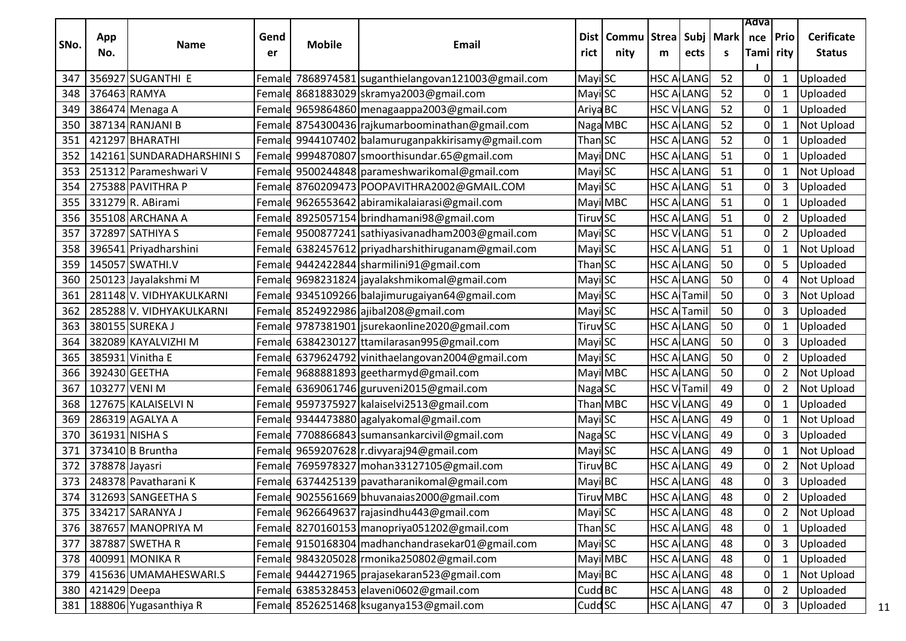|      |                |                           |            |               |                                                     |                            |                                            |                     |                   |    | Adva                    |                |                                    |
|------|----------------|---------------------------|------------|---------------|-----------------------------------------------------|----------------------------|--------------------------------------------|---------------------|-------------------|----|-------------------------|----------------|------------------------------------|
| SNo. | App<br>No.     | Name                      | Gend<br>er | <b>Mobile</b> | <b>Email</b>                                        | rict                       | Dist   Commu   Strea   Subj   Mark<br>nity | m                   | ects              | s  | nce   Prio<br>Tami rity |                | <b>Cerificate</b><br><b>Status</b> |
| 347  |                | 356927 SUGANTHI E         |            |               | Female 7868974581 suganthielangovan121003@gmail.com | Mayi SC                    |                                            |                     | <b>HSC ALLANG</b> | 52 | 0                       | $\mathbf{1}$   | Uploaded                           |
| 348  | 376463 RAMYA   |                           |            |               | Female 8681883029 skramya2003@gmail.com             | Mayi SC                    |                                            |                     | <b>HSC A LANG</b> | 52 | $\overline{0}$          | $\mathbf{1}$   | Uploaded                           |
| 349  |                | 386474 Menaga A           |            |               | Female 9659864860 menagaappa2003@gmail.com          | Ariya BC                   |                                            |                     | <b>HSC V LANG</b> | 52 | $\overline{0}$          | $\mathbf{1}$   | Uploaded                           |
| 350  |                | 387134 RANJANI B          |            |               | Female 8754300436 rajkumarboominathan@gmail.com     |                            | Naga MBC                                   |                     | <b>HSC ALLANG</b> | 52 | $\overline{0}$          | 1              | Not Upload                         |
| 351  |                | 421297 BHARATHI           |            |               | Female 9944107402 balamuruganpakkirisamy@gmail.com  | Than SC                    |                                            |                     | <b>HSC ALLANG</b> | 52 | $\mathbf 0$             | $\mathbf{1}$   | Uploaded                           |
| 352  |                | 142161 SUNDARADHARSHINI S |            |               | Female 9994870807 smoorthisundar.65@gmail.com       |                            | Mayi DNC                                   |                     | <b>HSC ALLANG</b> | 51 | 0                       | 1              | Uploaded                           |
| 353  |                | 251312 Parameshwari V     |            |               | Female 9500244848 parameshwarikomal@gmail.com       | Mayi SC                    |                                            |                     | <b>HSC A LANG</b> | 51 | $\overline{0}$          | $\mathbf{1}$   | <b>Not Upload</b>                  |
| 354  |                | 275388 PAVITHRA P         |            |               | Female 8760209473 POOPAVITHRA2002@GMAIL.COM         | Mayi SC                    |                                            |                     | <b>HSC A LANG</b> | 51 | 0                       | 3              | Uploaded                           |
| 355  |                | 331279 R. ABirami         |            |               | Female 9626553642 abiramikalaiarasi@gmail.com       |                            | Mayi MBC                                   |                     | <b>HSC ALLANG</b> | 51 | $\mathbf{0}$            | 1              | Uploaded                           |
| 356  |                | 355108 ARCHANA A          |            |               | Female 8925057154 brindhamani98@gmail.com           | <b>Tiruv</b> <sub>SC</sub> |                                            |                     | <b>HSC ALLANG</b> | 51 | 0                       | $\overline{2}$ | Uploaded                           |
| 357  |                | 372897 SATHIYA S          |            |               | Female 9500877241 sathiyasivanadham2003@gmail.com   | Mayi SC                    |                                            |                     | <b>HSC VILANG</b> | 51 | 0                       | $\overline{2}$ | Uploaded                           |
| 358  |                | 396541 Priyadharshini     |            |               | Female 6382457612 priyadharshithiruganam@gmail.com  | Mayi SC                    |                                            |                     | <b>HSC ALLANG</b> | 51 | $\overline{0}$          |                | Not Upload                         |
| 359  |                | 145057 SWATHI.V           |            |               | Female 9442422844 sharmilini91@gmail.com            | Than SC                    |                                            |                     | <b>HSC ALLANG</b> | 50 | 0                       | 5              | Uploaded                           |
| 360  |                | 250123 Jayalakshmi M      |            |               | Female 9698231824 jayalakshmikomal@gmail.com        | Mayi SC                    |                                            |                     | <b>HSC ALLANG</b> | 50 | $\mathbf{0}$            | 4              | Not Upload                         |
| 361  |                | 281148 V. VIDHYAKULKARNI  |            |               | Female 9345109266 balajimurugaiyan64@gmail.com      | Mayi SC                    |                                            | <b>HSC A Tamil</b>  |                   | 50 | $\mathbf 0$             | $\mathbf{3}$   | Not Upload                         |
| 362  |                | 285288 V. VIDHYAKULKARNI  |            |               | Female 8524922986 ajibal208@gmail.com               | Mayi SC                    |                                            | <b>HSC A Tamil</b>  |                   | 50 | 0                       | 3              | Uploaded                           |
| 363  |                | 380155 SUREKA J           |            |               | Female 9787381901   jsurekaonline 2020@gmail.com    | <b>Tiruv</b> <sub>SC</sub> |                                            |                     | <b>HSC ALLANG</b> | 50 | $\pmb{0}$               | 1              | Uploaded                           |
| 364  |                | 382089 KAYALVIZHI M       |            |               | Female 6384230127 ttamilarasan995@gmail.com         | Mayi SC                    |                                            |                     | <b>HSC A LANG</b> | 50 | $\Omega$                | 3              | Uploaded                           |
| 365  |                | 385931 Vinitha E          |            |               | Female 6379624792 vinithaelangovan2004@gmail.com    | Mayi SC                    |                                            |                     | <b>HSC ALLANG</b> | 50 | $\Omega$                | $\overline{2}$ | Uploaded                           |
| 366  |                | 392430 GEETHA             |            |               | Female 9688881893 geetharmyd@gmail.com              |                            | Mayi MBC                                   |                     | <b>HSC ALLANG</b> | 50 | 0                       | $\overline{2}$ | Not Upload                         |
| 367  | 103277 VENI M  |                           |            |               | Female 6369061746 guruveni2015@gmail.com            | Naga SC                    |                                            | <b>HSC V</b> ITamil |                   | 49 | 0                       | $\overline{2}$ | Not Upload                         |
| 368  |                | 127675 KALAISELVI N       |            |               | Female 9597375927 kalaiselvi2513@gmail.com          |                            | Than MBC                                   |                     | <b>HSC VILANG</b> | 49 | 0                       | $\mathbf{1}$   | Uploaded                           |
| 369  |                | 286319 AGALYA A           |            |               | Female 9344473880 agalyakomal@gmail.com             | Mayi SC                    |                                            |                     | <b>HSC ALLANG</b> | 49 | 0                       | $\mathbf{1}$   | Not Upload                         |
| 370  | 361931 NISHA S |                           |            |               | Female 7708866843 sumansankarcivil@gmail.com        | Naga SC                    |                                            |                     | <b>HSC VILANG</b> | 49 | $\mathbf{0}$            | 3              | Uploaded                           |
| 371  |                | 373410 B Bruntha          |            |               | Female 9659207628 r.divyaraj94@gmail.com            | Mayi SC                    |                                            |                     | <b>HSC ALLANG</b> | 49 | 0                       | $\mathbf{1}$   | <b>Not Upload</b>                  |
| 372  | 378878 Jayasri |                           |            |               | Female 7695978327 mohan33127105@gmail.com           | Tiruv <sup>BC</sup>        |                                            |                     | <b>HSC A LANG</b> | 49 | 0                       | $\overline{2}$ | Not Upload                         |
| 373  |                | 248378 Pavatharani K      |            |               | Female 6374425139 pavatharanikomal@gmail.com        | Mayi BC                    |                                            |                     | <b>HSC A LANG</b> | 48 | 0                       | $\mathbf{3}$   | Uploaded                           |
| 374  |                | 312693 SANGEETHAS         |            |               | Female 9025561669 bhuvanaias2000@gmail.com          |                            | <b>Tiruv</b> MBC                           | <b>HSC ALLANG</b>   |                   | 48 | 0                       | $\overline{2}$ | Uploaded                           |
| 375  |                | 334217 SARANYA J          |            |               | Female 9626649637 rajasindhu443@gmail.com           | <b>Mayi</b> SC             |                                            |                     | <b>HSC ALLANG</b> | 48 | 01                      | $\overline{2}$ | <b>Not Upload</b>                  |
| 376  |                | 387657 MANOPRIYA M        |            |               | Female 8270160153 manopriya051202@gmail.com         | ThanSC                     |                                            |                     | <b>HSC ALLANG</b> | 48 | $\overline{0}$          | $\mathbf{1}$   | Uploaded                           |
| 377  |                | 387887 SWETHA R           |            |               | Female 9150168304 madhanchandrasekar01@gmail.com    | Mayi SC                    |                                            |                     | <b>HSC ALLANG</b> | 48 | 0                       | 3              | Uploaded                           |
| 378  |                | 400991 MONIKA R           |            |               | Female 9843205028 monika250802@gmail.com            |                            | Mayi MBC                                   |                     | <b>HSC ALLANG</b> | 48 | $\overline{0}$          | $\mathbf{1}$   | Uploaded                           |
| 379  |                | 415636 UMAMAHESWARI.S     |            |               | Female 9444271965 prajasekaran 523@gmail.com        | Mayi BC                    |                                            |                     | <b>HSC ALLANG</b> | 48 | <sub>0</sub>            | $\mathbf{1}$   | Not Upload                         |
| 380  | 421429 Deepa   |                           |            |               | Female 6385328453 elaveni0602@gmail.com             | Cudd BC                    |                                            |                     | <b>HSC ALLANG</b> | 48 | 0                       | $\overline{2}$ | Uploaded                           |
| 381  |                | 188806 Yugasanthiya R     |            |               | Female 8526251468 ksuganya153@gmail.com             | Cudd <sub>SC</sub>         |                                            |                     | <b>HSC ALLANG</b> | 47 | $\overline{0}$          | $\mathbf{3}$   | Uploaded                           |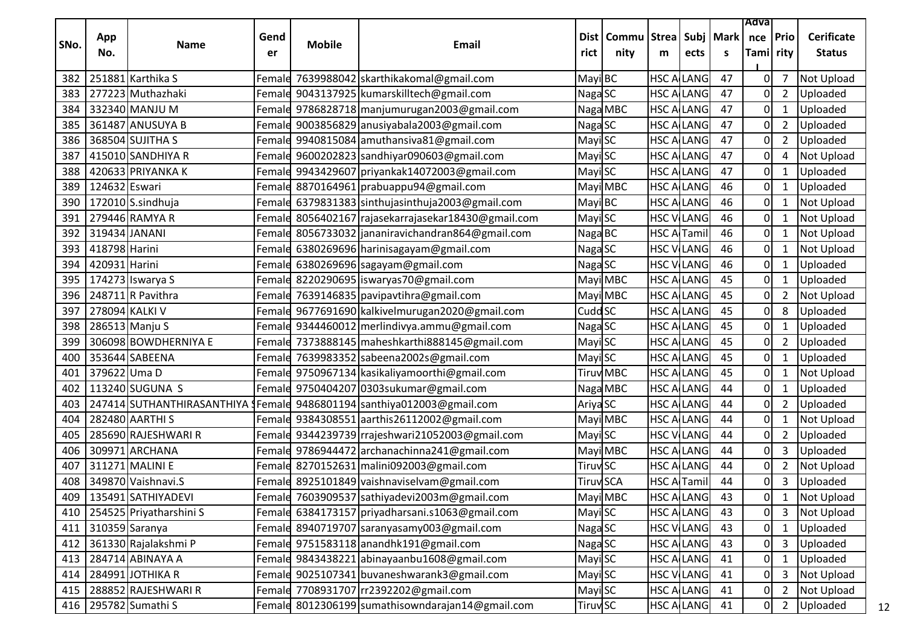|      |               |                                       |        |               |                                                                        |                     |                  |                    |                   |             | Adva      |                |                      |    |
|------|---------------|---------------------------------------|--------|---------------|------------------------------------------------------------------------|---------------------|------------------|--------------------|-------------------|-------------|-----------|----------------|----------------------|----|
| SNo. | App           | <b>Name</b>                           | Gend   | <b>Mobile</b> | Email                                                                  |                     | Dist   Commu     | <b>Strea</b>       |                   | Subj   Mark | nce       | Prio           | <b>Cerificate</b>    |    |
|      | No.           |                                       | er     |               |                                                                        | rict                | nity             | m                  | ects              | S           | Tami rity |                | <b>Status</b>        |    |
| 382  |               | 251881 Karthika S                     | Femald |               | 7639988042 skarthikakomal@gmail.com                                    | MayiBC              |                  |                    | <b>HSC ALLANG</b> | 47          | 0         | 7              | <b>Not Upload</b>    |    |
| 383  |               | 277223 Muthazhaki                     |        |               | Female 9043137925 kumarskilltech@gmail.com                             | Naga SC             |                  | <b>HSC ALLANG</b>  |                   | 47          | 0         | $\overline{2}$ | Uploaded             |    |
| 384  |               | 332340 MANJU M                        |        |               | Female 9786828718 manjumurugan 2003@gmail.com                          |                     | Naga MBC         |                    | <b>HSC ALLANG</b> | 47          | 0         | 1              | Uploaded             |    |
| 385  |               | 361487 ANUSUYA B                      |        |               | Female 9003856829 anusiyabala2003@gmail.com                            | Naga SC             |                  | <b>HSC ALLANG</b>  |                   | 47          | 0         | $\overline{2}$ | Uploaded             |    |
| 386  |               | 368504 SUJITHA S                      | Female |               | 9940815084 amuthansiva81@gmail.com                                     | Mayi SC             |                  |                    | <b>HSC ALLANG</b> | 47          | 0         | $\overline{2}$ | Uploaded             |    |
| 387  |               | 415010 SANDHIYA R                     |        |               | Female 9600202823 sandhiyar090603@gmail.com                            | Mayi SC             |                  | <b>HSC ALLANG</b>  |                   | 47          | 0         | 4              | <b>Not Upload</b>    |    |
| 388  |               | 420633 PRIYANKA K                     |        |               | Female 9943429607 priyankak14072003@gmail.com                          | Mayi SC             |                  | <b>HSC ALLANG</b>  |                   | 47          | 0         | $\mathbf{1}$   | Uploaded             |    |
| 389  | 124632 Eswari |                                       |        |               | Female 8870164961 prabuappu94@gmail.com                                |                     | Mayi MBC         |                    | <b>HSC ALLANG</b> | 46          | 0         | 1              | Uploaded             |    |
| 390  |               | 172010 S.sindhuja                     |        |               | Female 6379831383 sinthujasinthuja2003@gmail.com                       | Mayi BC             |                  | <b>HSC ALLANG</b>  |                   | 46          | 0         | $\mathbf{1}$   | <b>Not Upload</b>    |    |
| 391  |               | 279446 RAMYA R                        |        |               | Female 8056402167 rajasekarrajasekar18430@gmail.com                    | Mayi SC             |                  | <b>HSC VILANG</b>  |                   | 46          | 0         | 1              | Not Upload           |    |
| 392  |               | 319434 JANANI                         |        |               | Female 8056733032 jananiravichandran864@gmail.com                      | Naga BC             |                  | <b>HSC A Tamil</b> |                   | 46          | 0         | $\mathbf{1}$   | <b>Not Upload</b>    |    |
| 393  | 418798 Harini |                                       |        |               | Femald 6380269696 harinisagayam@gmail.com                              | Naga SC             |                  | <b>HSC VILANG</b>  |                   | 46          | 0         | $\mathbf{1}$   | <b>Not Upload</b>    |    |
| 394  | 420931 Harini |                                       |        |               | Female 6380269696 sagayam@gmail.com                                    |                     |                  |                    | <b>HSC VILANG</b> | 46          | 0         | 1              |                      |    |
| 395  |               |                                       |        |               | Female 8220290695 iswaryas70@gmail.com                                 | Naga SC             | Mayi MBC         | <b>HSC ALLANG</b>  |                   | 45          | 0         | $\mathbf{1}$   | Uploaded<br>Uploaded |    |
|      |               | 174273 Iswarya S<br>248711 R Pavithra |        |               |                                                                        |                     |                  |                    |                   |             |           |                |                      |    |
| 396  |               |                                       | Female |               | 7639146835 pavipavtihra@gmail.com                                      |                     | Mayi MBC         | <b>HSC ALLANG</b>  |                   | 45          | 0         | $\overline{2}$ | Not Upload           |    |
| 397  |               | 278094 KALKI V                        |        |               | Female 9677691690 kalkivelmurugan2020@gmail.com                        | Cudd <sub>SC</sub>  |                  | <b>HSC ALLANG</b>  |                   | 45          | 0         | 8              | Uploaded             |    |
| 398  |               | 286513 Manju S                        |        |               | Female 9344460012 merlindivya.ammu@gmail.com                           | Naga SC             |                  | <b>HSC ALLANG</b>  |                   | 45          | 0         | $\mathbf{1}$   | Uploaded             |    |
| 399  |               | 306098 BOWDHERNIYA E                  |        |               | Female 7373888145 maheshkarthi888145@gmail.com                         | Mayi SC             |                  |                    | <b>HSC ALLANG</b> | 45          | 0         | $\overline{2}$ | Uploaded             |    |
| 400  |               | 353644 SABEENA                        | Female |               | 7639983352 sabeena2002s@gmail.com                                      | Mayi SC             |                  | <b>HSC ALLANG</b>  |                   | 45          | 0         | 1              | Uploaded             |    |
| 401  | 379622 Uma D  |                                       |        |               | Female 9750967134 kasikaliyamoorthi@gmail.com                          |                     | <b>Tiruv</b> MBC | <b>HSC ALLANG</b>  |                   | 45          | 0         | $\mathbf{1}$   | Not Upload           |    |
| 402  |               | 113240 SUGUNA S                       |        |               | Female 9750404207 0303sukumar@gmail.com                                |                     | Naga MBC         | <b>HSC ALLANG</b>  |                   | 44          | 0         | $\mathbf{1}$   | Uploaded             |    |
| 403  |               |                                       |        |               | 247414 SUTHANTHIRASANTHIYA JFemald 9486801194 santhiya012003@gmail.com | Ariya <sub>SC</sub> |                  | <b>HSC ALLANG</b>  |                   | 44          | 0         | $\overline{2}$ | Uploaded             |    |
| 404  |               | 282480 AARTHI S                       |        |               | Female 9384308551 aarthis 26112002@gmail.com                           |                     | Mayi MBC         |                    | <b>HSC ALLANG</b> | 44          | 0         | 1              | Not Upload           |    |
| 405  |               | 285690 RAJESHWARI R                   |        |               | Female 9344239739 rrajeshwari21052003@gmail.com                        | Mayi SC             |                  | <b>HSC VILANG</b>  |                   | 44          | 0         | $\overline{2}$ | Uploaded             |    |
| 406  |               | 309971 ARCHANA                        | Female |               | 9786944472 archanachinna241@gmail.com                                  |                     | Mayi MBC         | <b>HSC ALLANG</b>  |                   | 44          | 0         | 3              | Uploaded             |    |
| 407  |               | 311271 MALINI E                       |        |               | Female 8270152631 malini092003@gmail.com                               | <b>Tiruv</b> SC     |                  |                    | <b>HSC ALLANG</b> | 44          | 0         | $\overline{2}$ | <b>Not Upload</b>    |    |
| 408  |               | 349870 Vaishnavi.S                    |        |               | Female 8925101849 vaishnaviselvam@gmail.com                            | <b>Tiruv SCA</b>    |                  | <b>HSC ArTamil</b> |                   | 44          | 0         | $\overline{3}$ | Uploaded             |    |
| 409  |               | 135491 SATHIYADEVI                    |        |               | Female 7603909537 sathiyadevi2003m@gmail.com                           |                     | Mayi MBC         | <b>HSC ALLANG</b>  |                   | 43          | N         | $\mathbf 1$    | Not Upload           |    |
| 410  |               | 254525 Priyatharshini S               |        |               | Female 6384173157 priyadharsani.s1063@gmail.com                        | Mayi SC             |                  | <b>HSC ALLANG</b>  |                   | 43          | $\Omega$  | $\overline{3}$ | Not Upload           |    |
| 411  |               | 310359 Saranya                        |        |               | Female 8940719707 saranyasamy003@gmail.com                             | Naga SC             |                  | <b>HSC VILANG</b>  |                   | 43          | 0         | $\mathbf{1}$   | Uploaded             |    |
| 412  |               | 361330 Rajalakshmi P                  |        |               | Female 9751583118 anandhk191@gmail.com                                 | Naga SC             |                  | <b>HSC ALLANG</b>  |                   | 43          | 0         | 3              | Uploaded             |    |
| 413  |               | 284714 ABINAYA A                      |        |               | Female 9843438221 abinayaanbu1608@gmail.com                            | MayiSC              |                  | <b>HSC ALLANG</b>  |                   | 41          | 0         | $\mathbf{1}$   | Uploaded             |    |
| 414  |               | 284991 JOTHIKA R                      |        |               | Female 9025107341 buvaneshwarank3@gmail.com                            | Mayi SC             |                  | <b>HSC VILANG</b>  |                   | 41          |           | 3              | Not Upload           |    |
| 415  |               | 288852 RAJESHWARI R                   |        |               | Female 7708931707 rr2392202@gmail.com                                  | Mayi SC             |                  | <b>HSC ALLANG</b>  |                   | 41          |           | $\overline{2}$ | Not Upload           |    |
|      |               | 416 295782 Sumathi S                  |        |               | Female 8012306199 sumathisowndarajan14@gmail.com                       | <b>Tiruv</b> SC     |                  | <b>HSC ALLANG</b>  |                   | 41          | 0         | $\overline{2}$ | Uploaded             | 12 |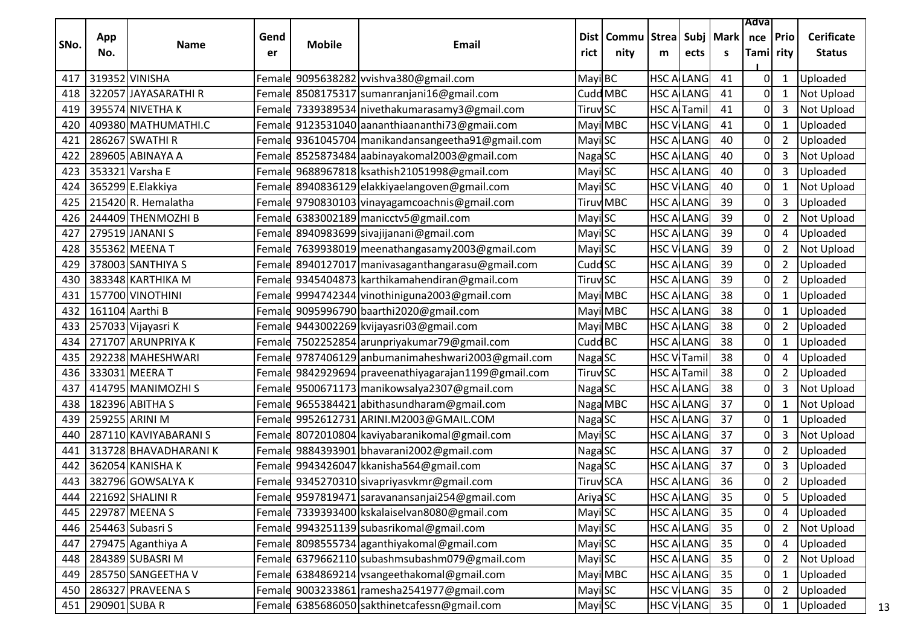|      |                 |                                |            |               |                                                      |                            |                                            |   |                    |                 | Adva                  |                |                                    |
|------|-----------------|--------------------------------|------------|---------------|------------------------------------------------------|----------------------------|--------------------------------------------|---|--------------------|-----------------|-----------------------|----------------|------------------------------------|
| SNo. | App<br>No.      | Name                           | Gend<br>er | <b>Mobile</b> | <b>Email</b>                                         | rict                       | Dist   Commu   Strea   Subj   Mark<br>nity | m | ects               | <b>S</b>        | nce Prio<br>Tami rity |                | <b>Cerificate</b><br><b>Status</b> |
| 417  | 319352 VINISHA  |                                |            |               | Female 9095638282 vvishva380@gmail.com               | Mayi BC                    |                                            |   | <b>HSC A LANG</b>  | 41              | 0                     | $\mathbf{1}$   | Uploaded                           |
| 418  |                 | 322057 JAYASARATHIR            |            |               | Female 8508175317 sumanranjani16@gmail.com           |                            | Cudd MBC                                   |   | <b>HSC ALLANG</b>  | 41              | 0                     | $\mathbf{1}$   | <b>Not Upload</b>                  |
| 419  |                 | 395574 NIVETHA K               |            |               | Female 7339389534 nivethakumarasamy3@gmail.com       | <b>Tiruv</b> <sub>SC</sub> |                                            |   | <b>HSC A Tamil</b> | 41              | 0                     | 3              | Not Upload                         |
| 420  |                 | 409380 MATHUMATHI.C            |            |               | Female 9123531040 aananthiaananthi73@gmaii.com       |                            | Mayi MBC                                   |   | <b>HSC VILANG</b>  | 41              | 0                     | 1              | Uploaded                           |
| 421  |                 | 286267 SWATHI R                |            |               | Female 9361045704 manikandansangeetha91@gmail.com    | Mayi SC                    |                                            |   | <b>HSC A LANG</b>  | 40              | 0                     | $\overline{2}$ | Uploaded                           |
| 422  |                 | 289605 ABINAYA A               |            |               | Female 8525873484 aabinayakomal2003@gmail.com        | Naga SC                    |                                            |   | <b>HSC A LANG</b>  | 40              | 0                     | 3              | Not Upload                         |
| 423  |                 | 353321 Varsha E                |            |               | Female 9688967818 ksathish21051998@gmail.com         | Mayi SC                    |                                            |   | <b>HSC A LANG</b>  | 40              | 0                     | 3              | Uploaded                           |
| 424  |                 | 365299 E.Elakkiya              |            |               | Female 8940836129 elakkiyaelangoven@gmail.com        | <b>Mayi</b> SC             |                                            |   | <b>HSC V LANG</b>  | 40              | 0                     |                | <b>Not Upload</b>                  |
| 425  |                 | 215420R. Hemalatha             |            |               | Female 9790830103 vinayagamcoachnis@gmail.com        |                            | <b>Tiruv</b> MBC                           |   | <b>HSC A LANG</b>  | 39              | 0                     | 3              | Uploaded                           |
| 426  |                 | 244409 THENMOZHI B             |            |               | Female 6383002189 manicctv5@gmail.com                | Mayi SC                    |                                            |   | <b>HSC A LANG</b>  | 39              | 0                     | $\overline{2}$ | <b>Not Upload</b>                  |
| 427  |                 | 279519 JANANI S                |            |               | Female 8940983699 sivajijanani@gmail.com             | <b>MayiSC</b>              |                                            |   | <b>HSC A LANG</b>  | 39              | 0                     | 4              | Uploaded                           |
| 428  |                 | 355362 MEENAT                  |            |               | Female 7639938019 meenathangasamy2003@gmail.com      | Mayi SC                    |                                            |   | <b>HSC VILANG</b>  | 39              | 0                     | $\overline{2}$ | <b>Not Upload</b>                  |
| 429  |                 | 378003 SANTHIYA S              |            |               | Female 8940127017 manivasaganthangarasu@gmail.com    | Cudd <sub>SC</sub>         |                                            |   | <b>HSC A LANG</b>  | 39              | 0                     | $\overline{2}$ | Uploaded                           |
| 430  |                 | 383348 KARTHIKA M              |            |               | Female 9345404873 karthikamahendiran@gmail.com       | <b>Tiruv</b> <sub>SC</sub> |                                            |   | <b>HSC ALLANG</b>  | 39              | 0                     | $\overline{2}$ | Uploaded                           |
| 431  |                 | 157700 VINOTHINI               |            |               | Female 9994742344 vinothiniguna2003@gmail.com        |                            | Mayi MBC                                   |   | <b>HSC A LANG</b>  | 38              | 0                     | $\mathbf{1}$   | Uploaded                           |
| 432  | 161104 Aarthi B |                                |            |               | Female 9095996790 baarthi2020@gmail.com              |                            | Mayi MBC                                   |   | <b>HSC A LANG</b>  | 38              | 0                     | 1              | Uploaded                           |
| 433  |                 | 257033 Vijayasri K             |            |               | Female 9443002269 kvijayasri03@gmail.com             |                            | Mayi MBC                                   |   | <b>HSC ALLANG</b>  | 38              | 0                     | $\overline{2}$ | Uploaded                           |
| 434  |                 | 271707 ARUNPRIYA K             |            |               | Female 7502252854 arunpriyakumar79@gmail.com         | Cudd BC                    |                                            |   | <b>HSC ALLANG</b>  | 38              | 0                     | 1              | Uploaded                           |
| 435  |                 | 292238 MAHESHWARI              |            |               | Female 9787406129 anbumanimaheshwari2003@gmail.com   | Naga SC                    |                                            |   | <b>HSC V</b> Tamil | 38              | 0                     | 4              | Uploaded                           |
| 436  |                 | 333031 MEERA T                 |            |               | Femald 9842929694 praveenathiyagarajan1199@gmail.com | <b>Tiruv</b> SC            |                                            |   | <b>HSC A Tamil</b> | 38              | $\mathbf 0$           | $\overline{2}$ | Uploaded                           |
| 437  |                 | 414795 MANIMOZHI S             |            |               | Female 9500671173 manikowsalya2307@gmail.com         | Naga SC                    |                                            |   | <b>HSC A LANG</b>  | 38              | 0                     | 3              | Not Upload                         |
| 438  |                 | 182396 ABITHA S                |            |               | Female 9655384421 abithasundharam@gmail.com          |                            | Naga MBC                                   |   | <b>HSC ALLANG</b>  | 37              | 0                     | $\mathbf{1}$   | Not Upload                         |
| 439  |                 | 259255 ARINI M                 |            |               | Female 9952612731 ARINI.M2003@GMAIL.COM              | Naga SC                    |                                            |   | <b>HSC ALLANG</b>  | 37              | 0                     | 1              | Uploaded                           |
| 440  |                 | 287110 KAVIYABARANI S          |            |               | Female 8072010804 kaviyabaranikomal@gmail.com        | Mayi SC                    |                                            |   | <b>HSC ALLANG</b>  | 37              | 0                     | 3              | Not Upload                         |
| 441  |                 | 313728 BHAVADHARANIK           |            |               | Female 9884393901 bhavarani2002@gmail.com            | Naga SC                    |                                            |   | <b>HSC ALLANG</b>  | 37              | 0                     | $\overline{2}$ | Uploaded                           |
| 442  |                 | 362054 KANISHA K               |            |               | Female 9943426047 kkanisha564@gmail.com              | Naga SC                    |                                            |   | <b>HSC A LANG</b>  | 37              | 0                     | 3              | Uploaded                           |
| 443  |                 | 382796 GOWSALYA K              |            |               | Female 9345270310 sivapriyasvkmr@gmail.com           |                            | Tiruv SCA                                  |   | <b>HSC A LANG</b>  | 36              | 0                     | $\overline{2}$ | Uploaded                           |
| 444  |                 | $\overline{22}$ 1692 SHALINI R |            |               | Female 9597819471 saravanansanjai254@gmail.com       | Ariya SC                   |                                            |   | <b>HSC ALLANG</b>  | $\overline{35}$ | $\overline{0}$        |                | 5 Uploaded                         |
| 445  |                 | 229787 MEENA S                 |            |               | Female 7339393400 kskalaiselvan8080@gmail.com        | Mayi SC                    |                                            |   | <b>HSC ALLANG</b>  | 35              | 0                     | 4              | Uploaded                           |
| 446  |                 | 254463 Subasri S               |            |               | Female 9943251139 subasrikomal@gmail.com             | Mayi SC                    |                                            |   | <b>HSC ALLANG</b>  | 35              | 0                     | $2^{\circ}$    | Not Upload                         |
| 447  |                 | 279475 Aganthiya A             |            |               | Female 8098555734 aganthiyakomal@gmail.com           | Mayi SC                    |                                            |   | <b>HSC ALLANG</b>  | 35              | 0                     | 4              | Uploaded                           |
| 448  |                 | 284389 SUBASRI M               |            |               | Female 6379662110 subashmsubashm079@gmail.com        | Mayi SC                    |                                            |   | <b>HSC ALLANG</b>  | 35              | 0                     | $\overline{2}$ | Not Upload                         |
| 449  |                 | 285750 SANGEETHA V             |            |               | Female 6384869214 vsangeethakomal@gmail.com          |                            | Mayi MBC                                   |   | <b>HSC ALLANG</b>  | 35              | $\pmb{0}$             | $\mathbf{1}$   | Uploaded                           |
| 450  |                 | 286327 PRAVEENA S              |            |               | Female 9003233861 ramesha2541977@gmail.com           | Mayi SC                    |                                            |   | <b>HSC VILANG</b>  | 35              | 0                     | $\overline{2}$ | Uploaded                           |
| 451  | 290901 SUBA R   |                                |            |               | Female 6385686050 sakthinetcafessn@gmail.com         | Mayi SC                    |                                            |   | <b>HSC VILANG</b>  | 35              | $\mathbf 0$           | 1              | Uploaded                           |